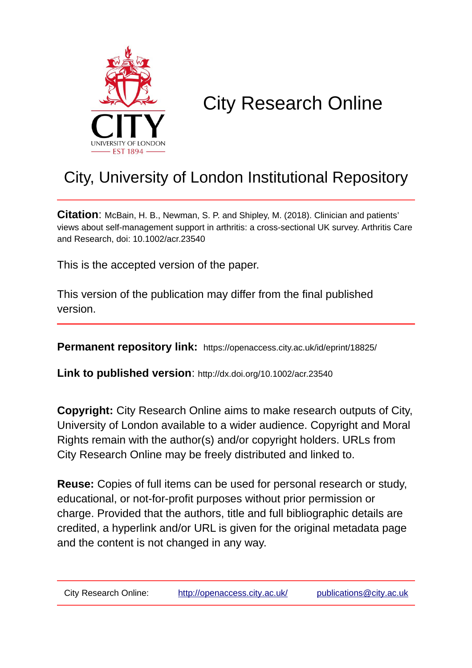

## City Research Online

## City, University of London Institutional Repository

**Citation**: McBain, H. B., Newman, S. P. and Shipley, M. (2018). Clinician and patients' views about self-management support in arthritis: a cross-sectional UK survey. Arthritis Care and Research, doi: 10.1002/acr.23540

This is the accepted version of the paper.

This version of the publication may differ from the final published version.

**Permanent repository link:** https://openaccess.city.ac.uk/id/eprint/18825/

**Link to published version**: http://dx.doi.org/10.1002/acr.23540

**Copyright:** City Research Online aims to make research outputs of City, University of London available to a wider audience. Copyright and Moral Rights remain with the author(s) and/or copyright holders. URLs from City Research Online may be freely distributed and linked to.

**Reuse:** Copies of full items can be used for personal research or study, educational, or not-for-profit purposes without prior permission or charge. Provided that the authors, title and full bibliographic details are credited, a hyperlink and/or URL is given for the original metadata page and the content is not changed in any way.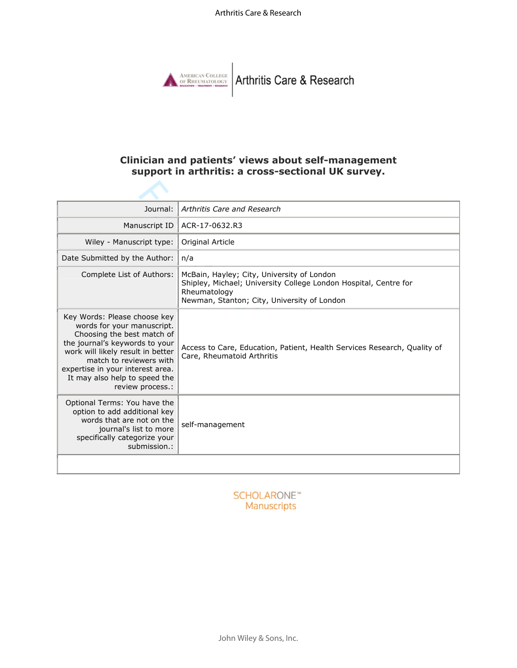**AMERICAN COLLEGE Arthritis Care & Research** 

### **Clinician and patients' views about self -management support in arthritis: a cross-sectional UK survey.**

| Journal:                                                                                                                                                                                                                                                                            | Arthritis Care and Research                                                                                                                                                   |
|-------------------------------------------------------------------------------------------------------------------------------------------------------------------------------------------------------------------------------------------------------------------------------------|-------------------------------------------------------------------------------------------------------------------------------------------------------------------------------|
| Manuscript ID                                                                                                                                                                                                                                                                       | ACR-17-0632.R3                                                                                                                                                                |
| Wiley - Manuscript type:                                                                                                                                                                                                                                                            | Original Article                                                                                                                                                              |
| Date Submitted by the Author:                                                                                                                                                                                                                                                       | n/a                                                                                                                                                                           |
| Complete List of Authors:                                                                                                                                                                                                                                                           | McBain, Hayley; City, University of London<br>Shipley, Michael; University College London Hospital, Centre for<br>Rheumatology<br>Newman, Stanton; City, University of London |
| Key Words: Please choose key<br>words for your manuscript.<br>Choosing the best match of<br>the journal's keywords to your<br>work will likely result in better<br>match to reviewers with<br>expertise in your interest area.<br>It may also help to speed the<br>review process.: | Access to Care, Education, Patient, Health Services Research, Quality of<br>Care, Rheumatoid Arthritis                                                                        |
| Optional Terms: You have the<br>option to add additional key<br>words that are not on the<br>journal's list to more<br>specifically categorize your<br>submission.:                                                                                                                 | self-management                                                                                                                                                               |
|                                                                                                                                                                                                                                                                                     |                                                                                                                                                                               |

**SCHOLARONE™** Manuscripts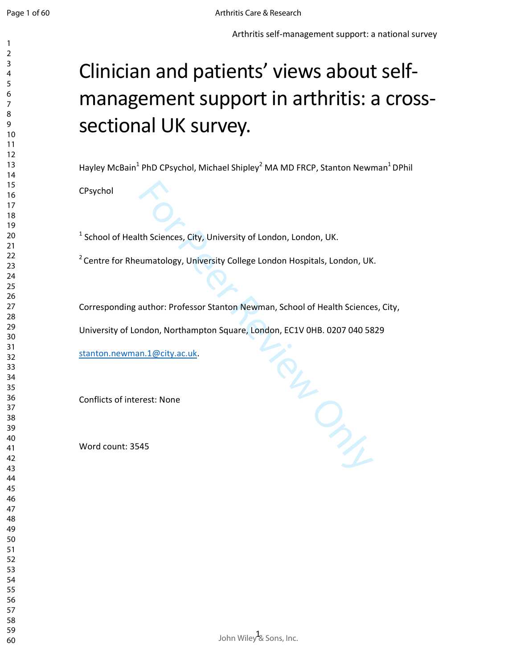For Prince

# Clinician and patients' views about selfmanagement support in arthritis: a crosssectional UK survey.

Hayley McBain<sup>1</sup> PhD CPsychol, Michael Shipley<sup>2</sup> MA MD FRCP, Stanton Newman<sup>1</sup> DPhil

CPsychol

 $<sup>1</sup>$  School of Health Sciences, City, University of London, London, UK.</sup>

<sup>2</sup> Centre for Rheumatology, University College London Hospitals, London, UK.

Corresponding author: Professor Stanton Newman, School of Health Sciences, City,

University of London, Northampton Square, London, EC1V 0HB. 0207 040 5829

stanton.newman.1@city.ac.uk.

Conflicts of interest: None

Word count: 3545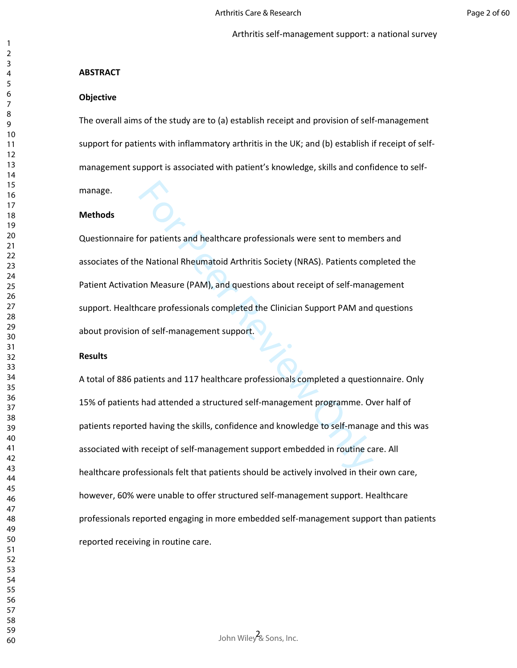### **ABSTRACT**

### **Objective**

The overall aims of the study are to (a) establish receipt and provision of self-management support for patients with inflammatory arthritis in the UK; and (b) establish if receipt of selfmanagement support is associated with patient's knowledge, skills and confidence to self-

manage.

### **Methods**

Questionnaire for patients and healthcare professionals were sent to members and associates of the National Rheumatoid Arthritis Society (NRAS). Patients completed the Patient Activation Measure (PAM), and questions about receipt of self-management support. Healthcare professionals completed the Clinician Support PAM and questions about provision of self-management support.

### **Results**

For patients and healthcare professionals were sent to members<br>
Expected National Rheumatoid Arthritis Society (NRAS). Patients com<br>
In Measure (PAM), and questions about receipt of self-mana<br>
In acare professionals comple A total of 886 patients and 117 healthcare professionals completed a questionnaire. Only 15% of patients had attended a structured self-management programme. Over half of patients reported having the skills, confidence and knowledge to self-manage and this was associated with receipt of self-management support embedded in routine care. All healthcare professionals felt that patients should be actively involved in their own care, however, 60% were unable to offer structured self-management support. Healthcare professionals reported engaging in more embedded self-management support than patients reported receiving in routine care.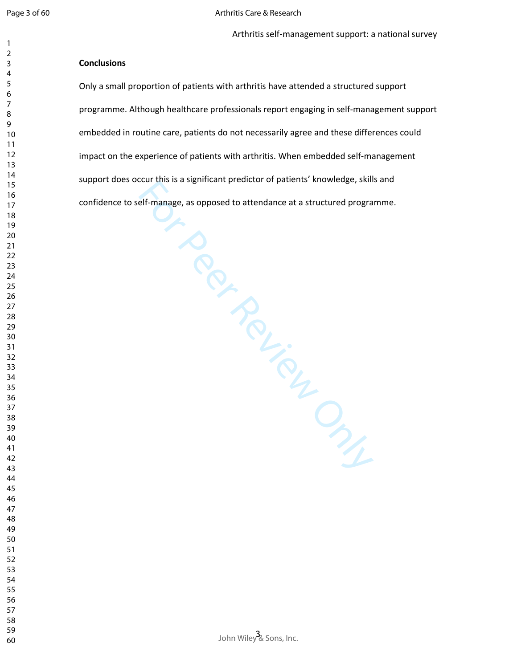$\mathbf{1}$  $\overline{2}$  $\overline{\mathbf{4}}$  $\overline{7}$ 

Arthritis self-management support: a national survey

### **Conclusions**

Sia coppose. Only a small proportion of patients with arthritis have attended a structured support programme. Although healthcare professionals report engaging in self-management support embedded in routine care, patients do not necessarily agree and these differences could impact on the experience of patients with arthritis. When embedded self-management support does occur this is a significant predictor of patients' knowledge, skills and confidence to self-manage, as opposed to attendance at a structured programme.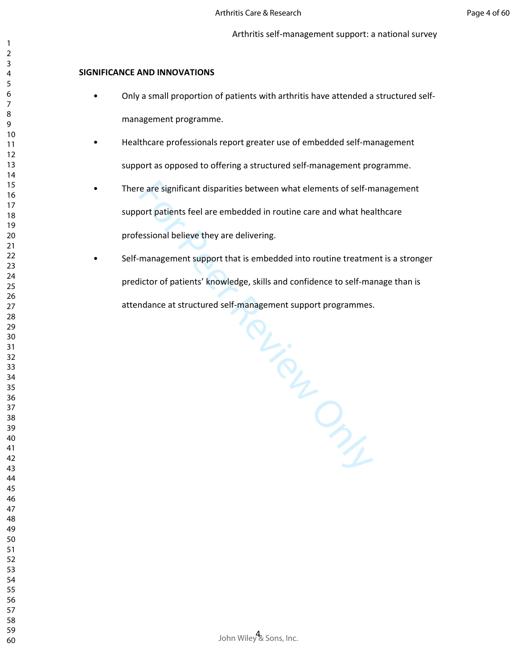### **SIGNIFICANCE AND INNOVATIONS**

- Only a small proportion of patients with arthritis have attended a structured self-
- management programme.<br>• Healthcare professionals report greater use of embedded self-management support as opposed to offering a structured self-management programme.
- There are significant disparities between what elements of self-management support patients feel are embedded in routine care and what healthcare professional believe they are delivering.
- TRU-SOLLING Self-management support that is embedded into routine treatment is a stronger predictor of patients' knowledge, skills and confidence to self-manage than is attendance at structured self-management support programmes.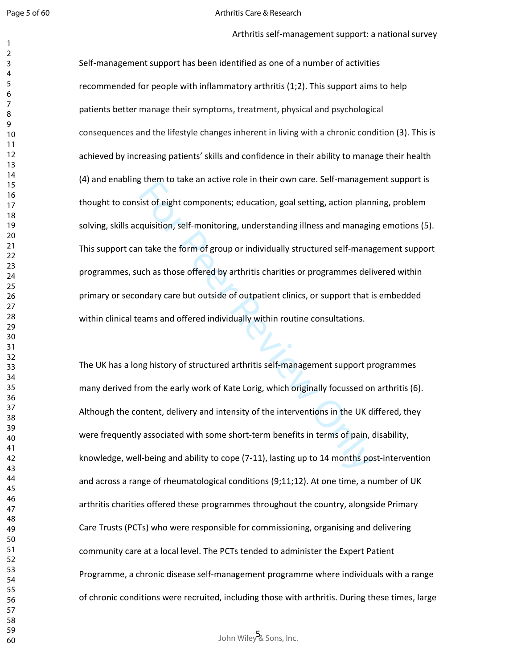$\mathbf{1}$  $\overline{2}$  $\overline{\mathbf{4}}$  $\overline{7}$ 

### Arthritis Care & Research

Arthritis self-management support: a national survey

| Self-management support has been identified as one of a number of activities                    |
|-------------------------------------------------------------------------------------------------|
| recommended for people with inflammatory arthritis (1;2). This support aims to help             |
| patients better manage their symptoms, treatment, physical and psychological                    |
| consequences and the lifestyle changes inherent in living with a chronic condition (3). This is |
| achieved by increasing patients' skills and confidence in their ability to manage their health  |
| (4) and enabling them to take an active role in their own care. Self-management support is      |
| thought to consist of eight components; education, goal setting, action planning, problem       |
| solving, skills acquisition, self-monitoring, understanding illness and managing emotions (5).  |
| This support can take the form of group or individually structured self-management support      |
| programmes, such as those offered by arthritis charities or programmes delivered within         |
| primary or secondary care but outside of outpatient clinics, or support that is embedded        |
| within clinical teams and offered individually within routine consultations.                    |
|                                                                                                 |
| The UK has a long history of structured arthritis self-management support programmes            |
| many derived from the early work of Kate Lorig, which originally focussed on arthritis (6).     |
| Although the content, delivery and intensity of the interventions in the UK differed, they      |
| were frequently associated with some short-term benefits in terms of pain, disability,          |
| knowledge, well-being and ability to cope (7-11), lasting up to 14 months post-intervention     |
|                                                                                                 |

The UK has a long history of structured arthritis self-management support programmes many derived from the early work of Kate Lorig, which originally focussed on arthritis (6). Although the content, delivery and intensity of the interventions in the UK differed, they were frequently associated with some short-term benefits in terms of pain, disability, knowledge, well-being and ability to cope (7-11), lasting up to 14 months post-intervention and across a range of rheumatological conditions (9;11;12). At one time, a number of UK arthritis charities offered these programmes throughout the country, alongside Primary Care Trusts (PCTs) who were responsible for commissioning, organising and delivering community care at a local level. The PCTs tended to administer the Expert Patient Programme, a chronic disease self-management programme where individuals with a range of chronic conditions were recruited, including those with arthritis. During these times, large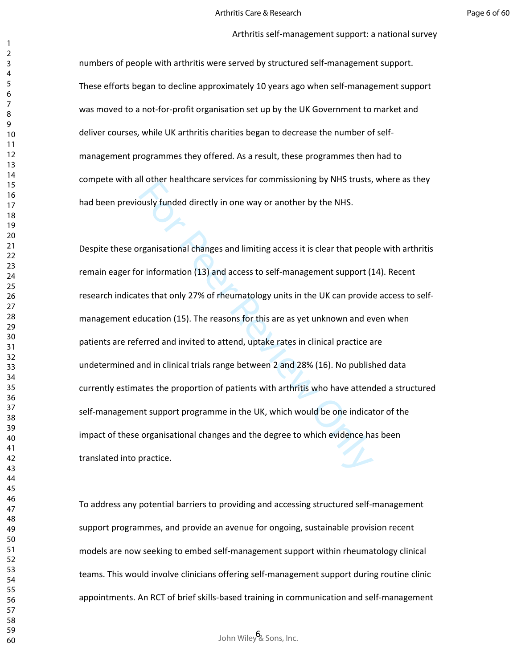numbers of people with arthritis were served by structured self-management support. These efforts began to decline approximately 10 years ago when self-management support was moved to a not-for-profit organisation set up by the UK Government to market and deliver courses, while UK arthritis charities began to decrease the number of selfmanagement programmes they offered. As a result, these programmes then had to compete with all other healthcare services for commissioning by NHS trusts, where as they had been previously funded directly in one way or another by the NHS.

 $\mathbf{1}$  $\overline{2}$  $\overline{4}$  $\overline{7}$ 

moder nearthcate services for commissioning by with class,<br>busly funded directly in one way or another by the NHS.<br>rganisational changes and limiting access it is clear that peop<br>or information (13) and access to self-mana Despite these organisational changes and limiting access it is clear that people with arthritis remain eager for information (13) and access to self-management support (14). Recent research indicates that only 27% of rheumatology units in the UK can provide access to selfmanagement education (15). The reasons for this are as yet unknown and even when patients are referred and invited to attend, uptake rates in clinical practice are undetermined and in clinical trials range between 2 and 28% (16). No published data currently estimates the proportion of patients with arthritis who have attended a structured self-management support programme in the UK, which would be one indicator of the impact of these organisational changes and the degree to which evidence has been translated into practice.

To address any potential barriers to providing and accessing structured self-management support programmes, and provide an avenue for ongoing, sustainable provision recent models are now seeking to embed self-management support within rheumatology clinical teams. This would involve clinicians offering self-management support during routine clinic appointments. An RCT of brief skills-based training in communication and self-management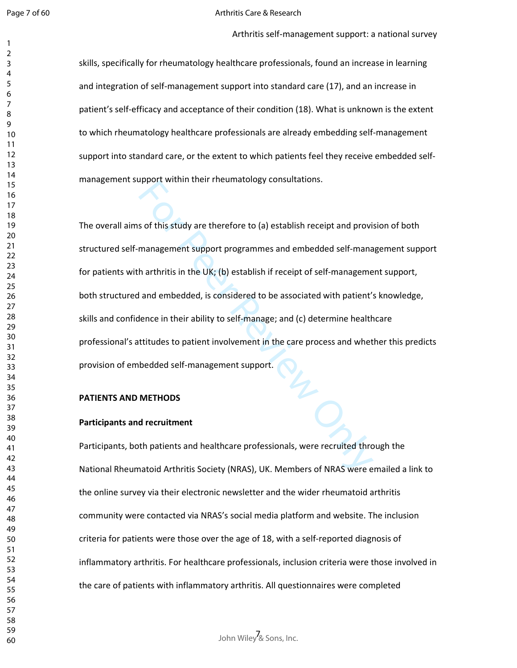### Arthritis Care & Research

Arthritis self-management support: a national survey

skills, specifically for rheumatology healthcare professionals, found an increase in learning and integration of self-management support into standard care (17), and an increase in patient's self-efficacy and acceptance of their condition (18). What is unknown is the extent to which rheumatology healthcare professionals are already embedding self-management support into standard care, or the extent to which patients feel they receive embedded selfmanagement support within their rheumatology consultations.

sof this study are therefore to (a) establish receipt and provisor and a more therefore to (a) establish receipt and provisor and an arthritis in the UK; (b) establish if receipt of self-management and embedded, is conside The overall aims of this study are therefore to (a) establish receipt and provision of both structured self-management support programmes and embedded self-management support for patients with arthritis in the UK; (b) establish if receipt of self-management support, both structured and embedded, is considered to be associated with patient's knowledge, skills and confidence in their ability to self-manage; and (c) determine healthcare professional's attitudes to patient involvement in the care process and whether this predicts provision of embedded self-management support.

### **PATIENTS AND METHODS**

### **Participants and recruitment**

Participants, both patients and healthcare professionals, were recruited through the National Rheumatoid Arthritis Society (NRAS), UK. Members of NRAS were emailed a link to the online survey via their electronic newsletter and the wider rheumatoid arthritis community were contacted via NRAS's social media platform and website. The inclusion criteria for patients were those over the age of 18, with a self-reported diagnosis of inflammatory arthritis. For healthcare professionals, inclusion criteria were those involved in the care of patients with inflammatory arthritis. All questionnaires were completed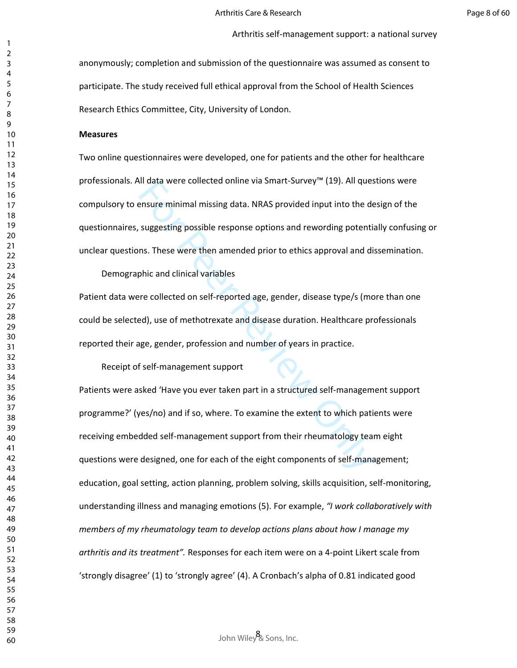anonymously; completion and submission of the questionnaire was assumed as consent to participate. The study received full ethical approval from the School of Health Sciences Research Ethics Committee, City, University of London.

### **Measures**

Two online questionnaires were developed, one for patients and the other for healthcare professionals. All data were collected online via Smart-Survey™ (19). All questions were compulsory to ensure minimal missing data. NRAS provided input into the design of the questionnaires, suggesting possible response options and rewording potentially confusing or unclear questions. These were then amended prior to ethics approval and dissemination.

Demographic and clinical variables

Patient data were collected on self-reported age, gender, disease type/s (more than one could be selected), use of methotrexate and disease duration. Healthcare professionals reported their age, gender, profession and number of years in practice.

Receipt of self-management support

In data were conected omine via smart-survey"" (19). An questensure minimal missing data. NRAS provided input into the desuggesting possible response options and rewording potentions. These were then amended prior to ethic Patients were asked 'Have you ever taken part in a structured self-management support programme?' (yes/no) and if so, where. To examine the extent to which patients were receiving embedded self-management support from their rheumatology team eight questions were designed, one for each of the eight components of self-management; education, goal setting, action planning, problem solving, skills acquisition, self-monitoring, understanding illness and managing emotions (5). For example, *"I work collaboratively with members of my rheumatology team to develop actions plans about how I manage my arthritis and its treatment".* Responses for each item were on a 4-point Likert scale from 'strongly disagree' (1) to 'strongly agree' (4). A Cronbach's alpha of 0.81 indicated good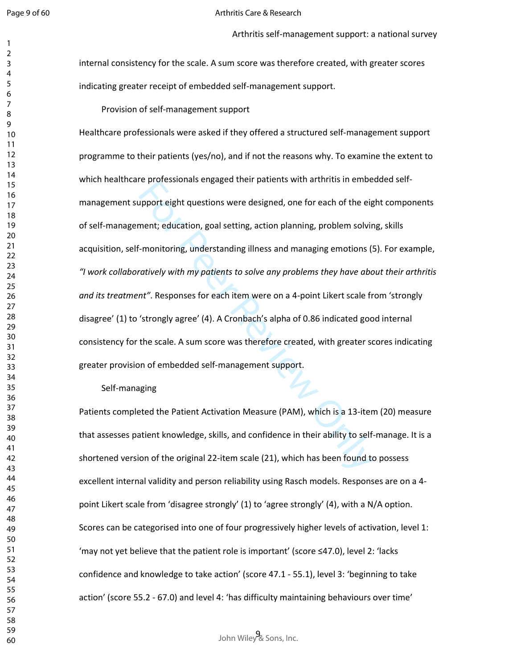$\mathbf{1}$  $\overline{2}$  $\overline{\mathbf{4}}$  $\overline{7}$ 

#### Arthritis Care & Research

Arthritis self-management support: a national survey

internal consistency for the scale. A sum score was therefore created, with greater scores indicating greater receipt of embedded self-management support.

Provision of self-management support

reprofessionals engaged their pattents with a thrists in entire<br>tipport eight questions were designed, one for each of the eigenent; education, goal setting, action planning, problem solvir<br>F-monitoring, understanding illn Healthcare professionals were asked if they offered a structured self-management support programme to their patients (yes/no), and if not the reasons why. To examine the extent to which healthcare professionals engaged their patients with arthritis in embedded selfmanagement support eight questions were designed, one for each of the eight components of self-management; education, goal setting, action planning, problem solving, skills acquisition, self-monitoring, understanding illness and managing emotions (5). For example, *"I work collaboratively with my patients to solve any problems they have about their arthritis and its treatment"*. Responses for each item were on a 4-point Likert scale from 'strongly disagree' (1) to 'strongly agree' (4). A Cronbach's alpha of 0.86 indicated good internal consistency for the scale. A sum score was therefore created, with greater scores indicating greater provision of embedded self-management support.

Self-managing

Patients completed the Patient Activation Measure (PAM), which is a 13-item (20) measure that assesses patient knowledge, skills, and confidence in their ability to self-manage. It is a shortened version of the original 22-item scale (21), which has been found to possess excellent internal validity and person reliability using Rasch models. Responses are on a 4 point Likert scale from 'disagree strongly' (1) to 'agree strongly' (4), with a N/A option. Scores can be categorised into one of four progressively higher levels of activation, level 1: 'may not yet believe that the patient role is important' (score ≤47.0), level 2: 'lacks confidence and knowledge to take action' (score 47.1 - 55.1), level 3: 'beginning to take action' (score 55.2 - 67.0) and level 4: 'has difficulty maintaining behaviours over time'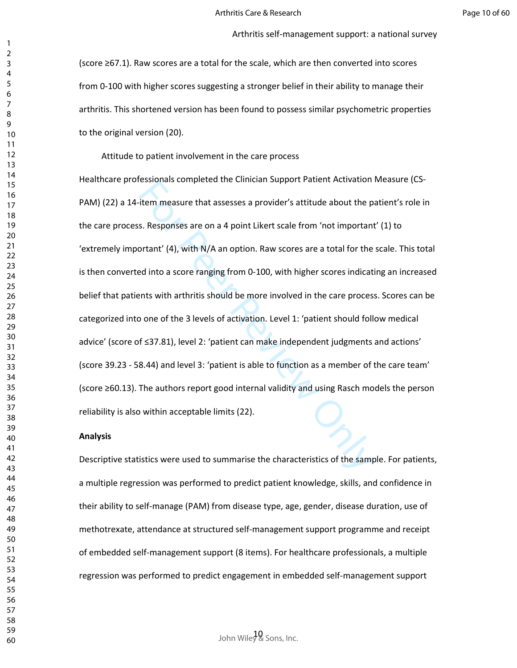(score ≥67.1). Raw scores are a total for the scale, which are then converted into scores from 0-100 with higher scores suggesting a stronger belief in their ability to manage their arthritis. This shortened version has been found to possess similar psychometric properties to the original version (20).

Essionals completed the cinician support Patient Activation<br>item measure that assesses a provider's attitude about the p<br>s. Responses are on a 4 point Likert scale from 'not important<br>ortant' (4), with N/A an option. Raw s Attitude to patient involvement in the care process Healthcare professionals completed the Clinician Support Patient Activation Measure (CS-PAM) (22) a 14-item measure that assesses a provider's attitude about the patient's role in the care process. Responses are on a 4 point Likert scale from 'not important' (1) to 'extremely important' (4), with N/A an option. Raw scores are a total for the scale. This total is then converted into a score ranging from 0-100, with higher scores indicating an increased belief that patients with arthritis should be more involved in the care process. Scores can be categorized into one of the 3 levels of activation. Level 1: 'patient should follow medical advice' (score of ≤37.81), level 2: 'patient can make independent judgments and actions' (score 39.23 - 58.44) and level 3: 'patient is able to function as a member of the care team' (score ≥60.13). The authors report good internal validity and using Rasch models the person reliability is also within acceptable limits (22).

### **Analysis**

Descriptive statistics were used to summarise the characteristics of the sample. For patients, a multiple regression was performed to predict patient knowledge, skills, and confidence in their ability to self-manage (PAM) from disease type, age, gender, disease duration, use of methotrexate, attendance at structured self-management support programme and receipt of embedded self-management support (8 items). For healthcare professionals, a multiple regression was performed to predict engagement in embedded self-management support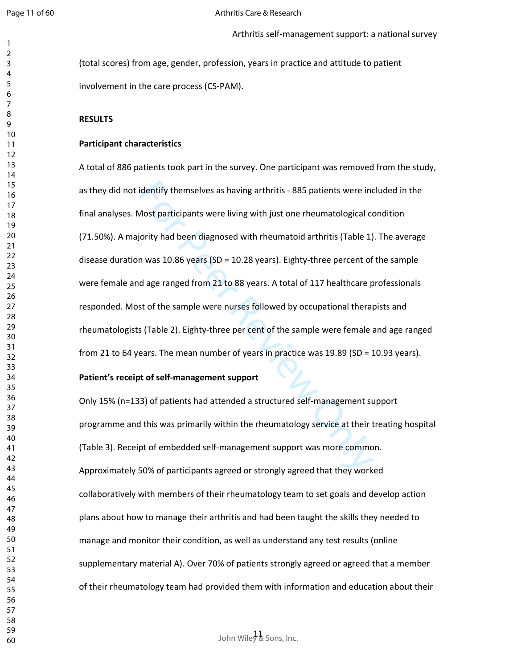$\mathbf{1}$  $\overline{2}$  $\overline{\mathbf{4}}$  $\overline{7}$ 

Arthritis Care & Research

Arthritis self-management support: a national survey

(total scores) from age, gender, profession, years in practice and attitude to patient involvement in the care process (CS-PAM).

### **RESULTS**

### **Participant characteristics**

identify themselves as having arthritis - 885 patients were inc<br>Most participants were living with just one rheumatological co<br>jority had been diagnosed with rheumatoid arthritis (Table 1)<br>n was 10.86 years (SD = 10.28 yea A total of 886 patients took part in the survey. One participant was removed from the study, as they did not identify themselves as having arthritis - 885 patients were included in the final analyses. Most participants were living with just one rheumatological condition (71.50%). A majority had been diagnosed with rheumatoid arthritis (Table 1). The average disease duration was 10.86 years (SD = 10.28 years). Eighty-three percent of the sample were female and age ranged from 21 to 88 years. A total of 117 healthcare professionals responded. Most of the sample were nurses followed by occupational therapists and rheumatologists (Table 2). Eighty-three per cent of the sample were female and age ranged from 21 to 64 years. The mean number of years in practice was 19.89 (SD = 10.93 years).

### **Patient's receipt of self-management support**

Only 15% (n=133) of patients had attended a structured self-management support programme and this was primarily within the rheumatology service at their treating hospital (Table 3). Receipt of embedded self-management support was more common. Approximately 50% of participants agreed or strongly agreed that they worked collaboratively with members of their rheumatology team to set goals and develop action plans about how to manage their arthritis and had been taught the skills they needed to manage and monitor their condition, as well as understand any test results (online supplementary material A). Over 70% of patients strongly agreed or agreed that a member of their rheumatology team had provided them with information and education about their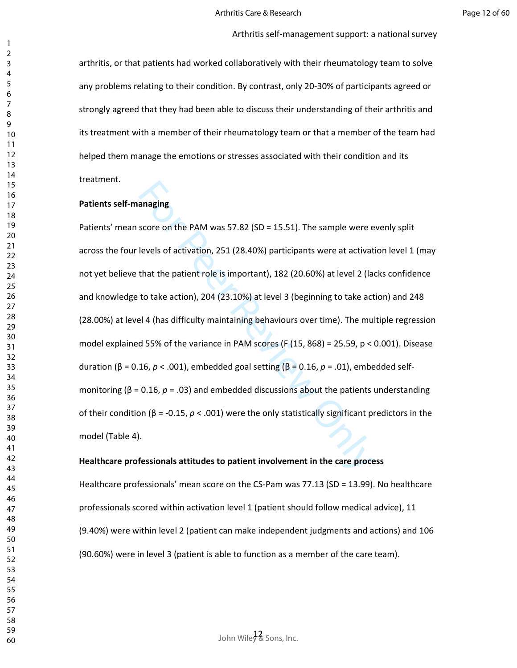arthritis, or that patients had worked collaboratively with their rheumatology team to solve any problems relating to their condition. By contrast, only 20-30% of participants agreed or strongly agreed that they had been able to discuss their understanding of their arthritis and its treatment with a member of their rheumatology team or that a member of the team had helped them manage the emotions or stresses associated with their condition and its treatment.

### **Patients self-managing**

**anaging**<br>score on the PAM was 57.82 (SD = 15.51). The sample were e<br>levels of activation, 251 (28.40%) participants were at activat<br>that the patient role is important), 182 (20.60%) at level 2 (la<br>to take action), 204 (2 Patients' mean score on the PAM was 57.82 (SD = 15.51). The sample were evenly split across the four levels of activation, 251 (28.40%) participants were at activation level 1 (may not yet believe that the patient role is important), 182 (20.60%) at level 2 (lacks confidence and knowledge to take action), 204 (23.10%) at level 3 (beginning to take action) and 248 (28.00%) at level 4 (has difficulty maintaining behaviours over time). The multiple regression model explained 55% of the variance in PAM scores (F  $(15, 868)$  = 25.59, p < 0.001). Disease duration (β = 0.16, *p* < .001), embedded goal setting (β = 0.16, *p* = .01), embedded selfmonitoring (β = 0.16, *p* = .03) and embedded discussions about the patients understanding of their condition ( $\beta$  = -0.15,  $p < .001$ ) were the only statistically significant predictors in the model (Table 4).

### **Healthcare professionals attitudes to patient involvement in the care process**

Healthcare professionals' mean score on the CS-Pam was 77.13 (SD = 13.99). No healthcare professionals scored within activation level 1 (patient should follow medical advice), 11 (9.40%) were within level 2 (patient can make independent judgments and actions) and 106 (90.60%) were in level 3 (patient is able to function as a member of the care team).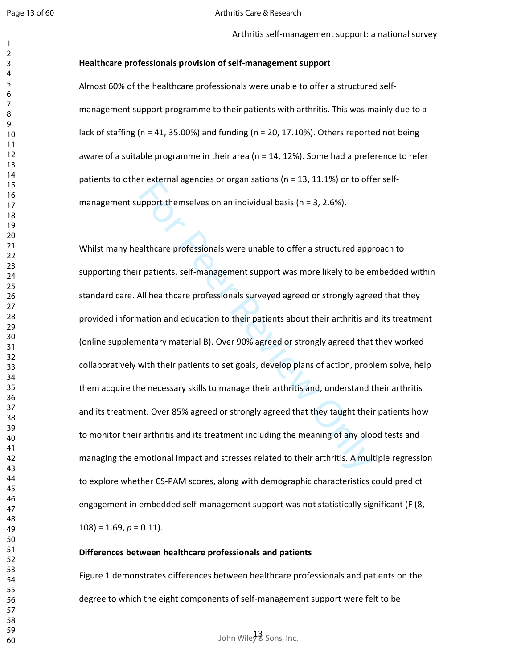$\mathbf{1}$ 

Arthritis Care & Research

Arthritis self-management support: a national survey

### **Healthcare professionals provision of self-management support**

Almost 60% of the healthcare professionals were unable to offer a structured selfmanagement support programme to their patients with arthritis. This was mainly due to a lack of staffing ( $n = 41$ , 35.00%) and funding ( $n = 20$ , 17.10%). Others reported not being aware of a suitable programme in their area ( $n = 14$ , 12%). Some had a preference to refer patients to other external agencies or organisations (n = 13, 11.1%) or to offer selfmanagement support themselves on an individual basis ( $n = 3$ , 2.6%).

En external agencies of organisations  $(n - 13, 11.176)$  of to one<br>upport themselves on an individual basis  $(n = 3, 2.6\%)$ .<br>althcare professionals were unable to offer a structured appr<br>patients, self-management support was Whilst many healthcare professionals were unable to offer a structured approach to supporting their patients, self-management support was more likely to be embedded within standard care. All healthcare professionals surveyed agreed or strongly agreed that they provided information and education to their patients about their arthritis and its treatment (online supplementary material B). Over 90% agreed or strongly agreed that they worked collaboratively with their patients to set goals, develop plans of action, problem solve, help them acquire the necessary skills to manage their arthritis and, understand their arthritis and its treatment. Over 85% agreed or strongly agreed that they taught their patients how to monitor their arthritis and its treatment including the meaning of any blood tests and managing the emotional impact and stresses related to their arthritis. A multiple regression to explore whether CS-PAM scores, along with demographic characteristics could predict engagement in embedded self-management support was not statistically significant (F (8, ) = 1.69,  $p = 0.11$ ).

### **Differences between healthcare professionals and patients**

Figure 1 demonstrates differences between healthcare professionals and patients on the degree to which the eight components of self-management support were felt to be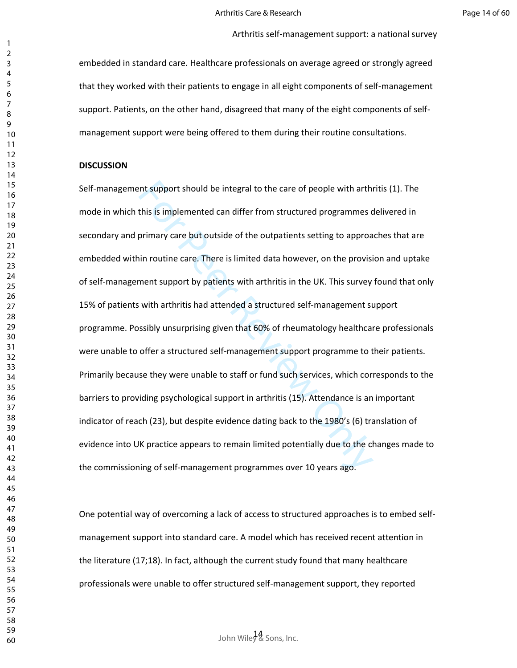embedded in standard care. Healthcare professionals on average agreed or strongly agreed that they worked with their patients to engage in all eight components of self-management support. Patients, on the other hand, disagreed that many of the eight components of selfmanagement support were being offered to them during their routine consultations.

### **DISCUSSION**

Int support should be integral to the care of people with arth<br>this is implemented can differ from structured programmes corrinary care but outside of the outpatients setting to approa<br>in routine care. There is limited dat Self-management support should be integral to the care of people with arthritis (1). The mode in which this is implemented can differ from structured programmes delivered in secondary and primary care but outside of the outpatients setting to approaches that are embedded within routine care. There is limited data however, on the provision and uptake of self-management support by patients with arthritis in the UK. This survey found that only 15% of patients with arthritis had attended a structured self-management support programme. Possibly unsurprising given that 60% of rheumatology healthcare professionals were unable to offer a structured self-management support programme to their patients. Primarily because they were unable to staff or fund such services, which corresponds to the barriers to providing psychological support in arthritis (15). Attendance is an important indicator of reach (23), but despite evidence dating back to the 1980's (6) translation of evidence into UK practice appears to remain limited potentially due to the changes made to the commissioning of self-management programmes over 10 years ago.

One potential way of overcoming a lack of access to structured approaches is to embed selfmanagement support into standard care. A model which has received recent attention in the literature (17;18). In fact, although the current study found that many healthcare professionals were unable to offer structured self-management support, they reported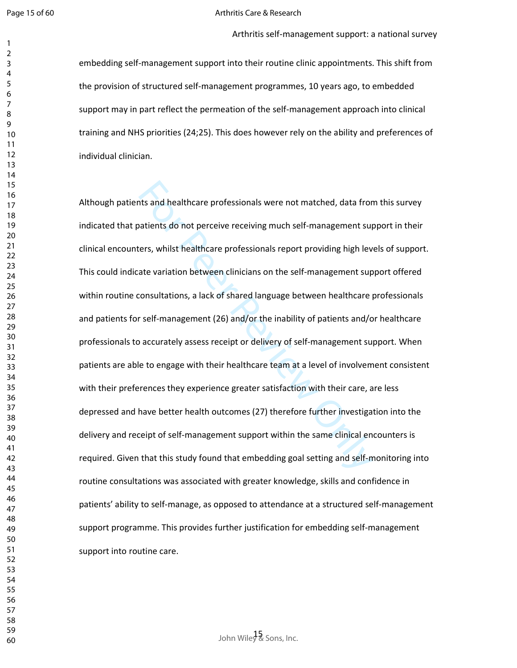$\mathbf{1}$  $\overline{2}$  $\overline{\mathbf{4}}$  $\overline{7}$ 

### Arthritis Care & Research

Arthritis self-management support: a national survey

embedding self-management support into their routine clinic appointments. This shift from the provision of structured self-management programmes, 10 years ago, to embedded support may in part reflect the permeation of the self-management approach into clinical training and NHS priorities (24;25). This does however rely on the ability and preferences of individual clinician.

nts and healthcare professionals were not matched, data from<br>atients do not perceive receiving much self-management surf<br>ers, whilst healthcare professionals report providing high lev<br>ate variation between clinicians on th Although patients and healthcare professionals were not matched, data from this survey indicated that patients do not perceive receiving much self-management support in their clinical encounters, whilst healthcare professionals report providing high levels of support. This could indicate variation between clinicians on the self-management support offered within routine consultations, a lack of shared language between healthcare professionals and patients for self-management (26) and/or the inability of patients and/or healthcare professionals to accurately assess receipt or delivery of self-management support. When patients are able to engage with their healthcare team at a level of involvement consistent with their preferences they experience greater satisfaction with their care, are less depressed and have better health outcomes (27) therefore further investigation into the delivery and receipt of self-management support within the same clinical encounters is required. Given that this study found that embedding goal setting and self-monitoring into routine consultations was associated with greater knowledge, skills and confidence in patients' ability to self-manage, as opposed to attendance at a structured self-management support programme. This provides further justification for embedding self-management support into routine care.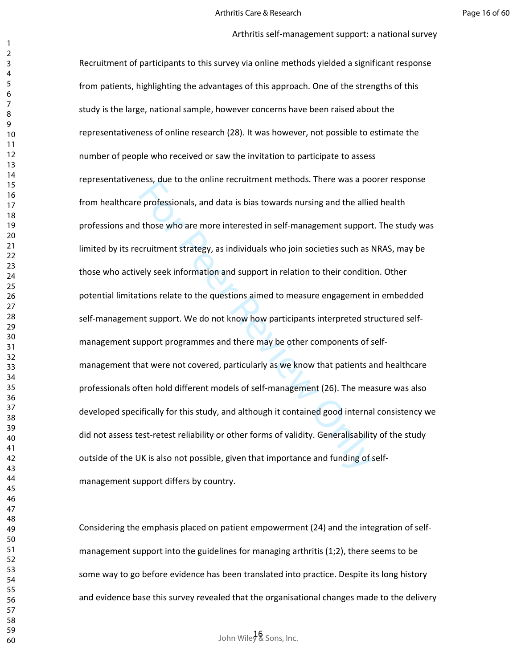Arthritis self-management support: a national survey

ess, these was a potential reconsiliant interiorus. These was a potential perpofessionals, and data is bias towards nursing and the allie<br>If those who are more interested in self-management support<br>cruitment strategy, as i Recruitment of participants to this survey via online methods yielded a significant response from patients, highlighting the advantages of this approach. One of the strengths of this study is the large, national sample, however concerns have been raised about the representativeness of online research (28). It was however, not possible to estimate the number of people who received or saw the invitation to participate to assess representativeness, due to the online recruitment methods. There was a poorer response from healthcare professionals, and data is bias towards nursing and the allied health professions and those who are more interested in self-management support. The study was limited by its recruitment strategy, as individuals who join societies such as NRAS, may be those who actively seek information and support in relation to their condition. Other potential limitations relate to the questions aimed to measure engagement in embedded self-management support. We do not know how participants interpreted structured selfmanagement support programmes and there may be other components of selfmanagement that were not covered, particularly as we know that patients and healthcare professionals often hold different models of self-management (26). The measure was also developed specifically for this study, and although it contained good internal consistency we did not assess test-retest reliability or other forms of validity. Generalisability of the study outside of the UK is also not possible, given that importance and funding of selfmanagement support differs by country.

Considering the emphasis placed on patient empowerment (24) and the integration of selfmanagement support into the guidelines for managing arthritis (1;2), there seems to be some way to go before evidence has been translated into practice. Despite its long history and evidence base this survey revealed that the organisational changes made to the delivery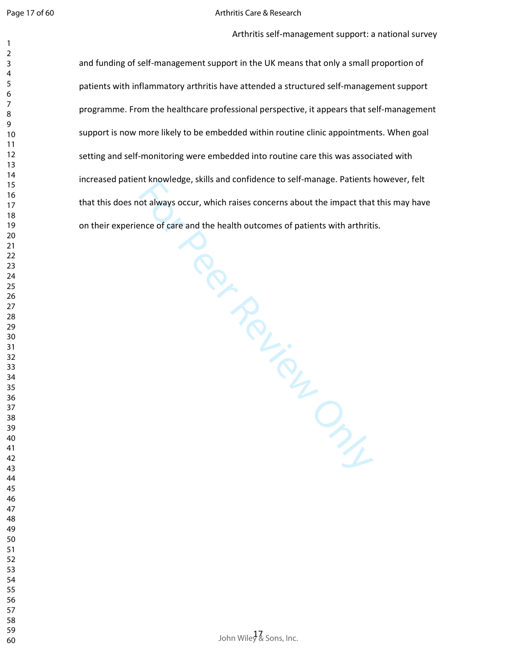$\overline{1}$ 

### Arthritis Care & Research

Arthritis self-management support: a national survey

| $\mathbf{1}$   |                                                                                            |
|----------------|--------------------------------------------------------------------------------------------|
| $\overline{2}$ |                                                                                            |
| 3              | and funding of self-management support in the UK means that only a small proportion of     |
| 4              |                                                                                            |
| 5              | patients with inflammatory arthritis have attended a structured self-management support    |
| 6              |                                                                                            |
| 7              | programme. From the healthcare professional perspective, it appears that self-management   |
| 8              |                                                                                            |
| 9              |                                                                                            |
| 10             | support is now more likely to be embedded within routine clinic appointments. When goal    |
| 11             |                                                                                            |
| 12             | setting and self-monitoring were embedded into routine care this was associated with       |
| 13             |                                                                                            |
| 14             | increased patient knowledge, skills and confidence to self-manage. Patients however, felt  |
| 15             |                                                                                            |
| 16             |                                                                                            |
| 17             | that this does not always occur, which raises concerns about the impact that this may have |
| 18             |                                                                                            |
| 19             | on their experience of care and the health outcomes of patients with arthritis.            |
| 20             |                                                                                            |
| 21             |                                                                                            |
| 22             |                                                                                            |
| 23             |                                                                                            |
| 24             |                                                                                            |
| 25             |                                                                                            |
| 26             |                                                                                            |
| 27             |                                                                                            |
| 28             |                                                                                            |
| 29             |                                                                                            |
| 30             | ine health outco.                                                                          |
| 31             |                                                                                            |
| 32             |                                                                                            |
| 33             |                                                                                            |
| 34             |                                                                                            |
| 35             |                                                                                            |
| 36             |                                                                                            |
| 37             |                                                                                            |
| 38             |                                                                                            |
| 39             |                                                                                            |
| 40             | $\mathcal{P}_{\mathcal{L}}$                                                                |
| 41             |                                                                                            |
| 42             |                                                                                            |
| 43             |                                                                                            |
| 44             |                                                                                            |
| 45             |                                                                                            |
| 46             |                                                                                            |
| 47             |                                                                                            |
| 48             |                                                                                            |
| 49             |                                                                                            |
| 50             |                                                                                            |
| 51             |                                                                                            |
| 52             |                                                                                            |
| 53             |                                                                                            |
| 54             |                                                                                            |
| 55             |                                                                                            |
| 56             |                                                                                            |
| 57             |                                                                                            |
| 58             |                                                                                            |
| 59             |                                                                                            |
| 60             | John Wiley & Sons, Inc.                                                                    |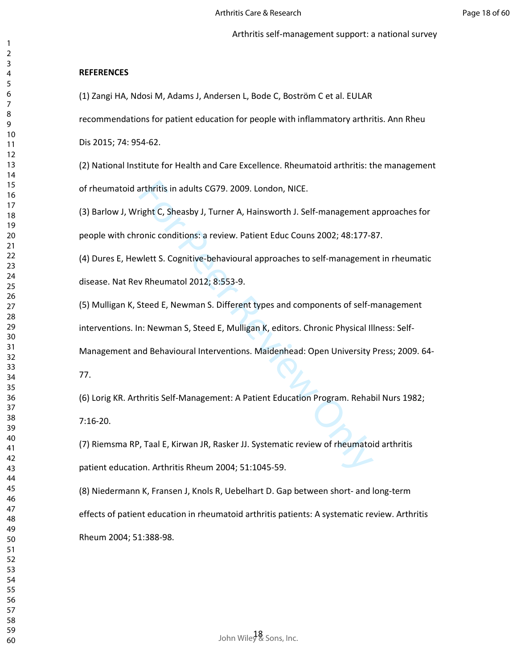### **REFERENCES**

(1) Zangi HA, Ndosi M, Adams J, Andersen L, Bode C, Boström C et al. EULAR

recommendations for patient education for people with inflammatory arthritis. Ann Rheu

Dis 2015; 74: 954-62.

(2) National Institute for Health and Care Excellence. Rheumatoid arthritis: the management of rheumatoid arthritis in adults CG79. 2009. London, NICE.

(3) Barlow J, Wright C, Sheasby J, Turner A, Hainsworth J. Self-management approaches for people with chronic conditions: a review. Patient Educ Couns 2002; 48:177-87.

(4) Dures E, Hewlett S. Cognitive-behavioural approaches to self-management in rheumatic disease. Nat Rev Rheumatol 2012; 8:553-9.

arthritis in adults CG79. 2009. London, NICE.<br>
Fight C, Sheasby J, Turner A, Hainsworth J. Self-management and<br>
conic conditions: a review. Patient Educ Couns 2002; 48:177-8<br>
Melt S. Cognitive-behavioural approaches to sel (5) Mulligan K, Steed E, Newman S. Different types and components of self-management interventions. In: Newman S, Steed E, Mulligan K, editors. Chronic Physical Illness: Self-Management and Behavioural Interventions. Maidenhead: Open University Press; 2009. 64- 77.

(6) Lorig KR. Arthritis Self-Management: A Patient Education Program. Rehabil Nurs 1982; 7:16-20.

(7) Riemsma RP, Taal E, Kirwan JR, Rasker JJ. Systematic review of rheumatoid arthritis patient education. Arthritis Rheum 2004; 51:1045-59.

(8) Niedermann K, Fransen J, Knols R, Uebelhart D. Gap between short- and long-term effects of patient education in rheumatoid arthritis patients: A systematic review. Arthritis Rheum 2004; 51:388-98.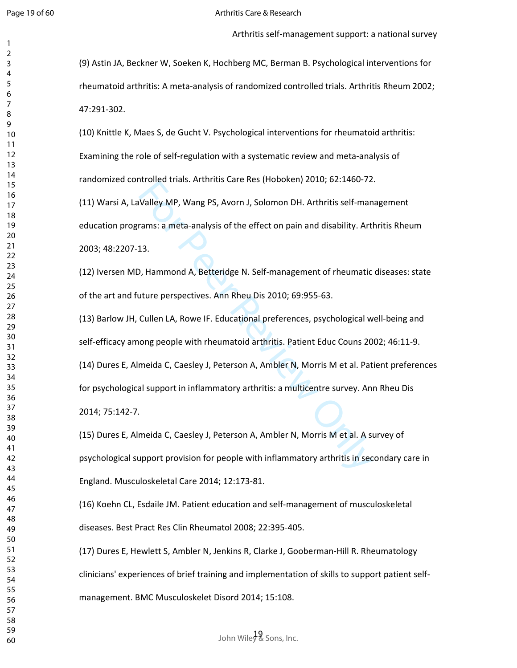### Arthritis Care & Research

Arthritis self-management support: a national survey

| (9) Astin JA, Beckner W, Soeken K, Hochberg MC, Berman B. Psychological interventions for    |
|----------------------------------------------------------------------------------------------|
| rheumatoid arthritis: A meta-analysis of randomized controlled trials. Arthritis Rheum 2002; |
| 47:291-302.                                                                                  |

(10) Knittle K, Maes S, de Gucht V. Psychological interventions for rheumatoid arthritis: Examining the role of self-regulation with a systematic review and meta-analysis of randomized controlled trials. Arthritis Care Res (Hoboken) 2010; 62:1460-72.

Italieus trans. Arthritis care nes (1000Kerr) 2010, 02.1400-72<br>Valley MP, Wang PS, Avorn J, Solomon DH. Arthritis self-man<br>rams: a meta-analysis of the effect on pain and disability. Arthritis<br>13.<br>D, Hammond A, Betteridge (11) Warsi A, LaValley MP, Wang PS, Avorn J, Solomon DH. Arthritis self-management education programs: a meta-analysis of the effect on pain and disability. Arthritis Rheum 2003; 48:2207-13.

(12) Iversen MD, Hammond A, Betteridge N. Self-management of rheumatic diseases: state of the art and future perspectives. Ann Rheu Dis 2010; 69:955-63.

(13) Barlow JH, Cullen LA, Rowe IF. Educational preferences, psychological well-being and self-efficacy among people with rheumatoid arthritis. Patient Educ Couns 2002; 46:11-9.

(14) Dures E, Almeida C, Caesley J, Peterson A, Ambler N, Morris M et al. Patient preferences for psychological support in inflammatory arthritis: a multicentre survey. Ann Rheu Dis

2014; 75:142-7.

(15) Dures E, Almeida C, Caesley J, Peterson A, Ambler N, Morris M et al. A survey of psychological support provision for people with inflammatory arthritis in secondary care in England. Musculoskeletal Care 2014; 12:173-81.

(16) Koehn CL, Esdaile JM. Patient education and self-management of musculoskeletal diseases. Best Pract Res Clin Rheumatol 2008; 22:395-405.

(17) Dures E, Hewlett S, Ambler N, Jenkins R, Clarke J, Gooberman-Hill R. Rheumatology clinicians' experiences of brief training and implementation of skills to support patient selfmanagement. BMC Musculoskelet Disord 2014; 15:108.

### 19 John Wiley & Sons, Inc.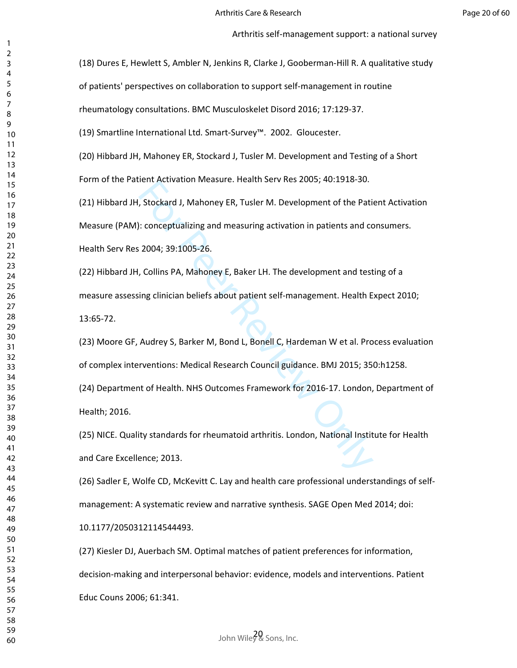| (18) Dures E, Hewlett S, Ambler N, Jenkins R, Clarke J, Gooberman-Hill R. A qualitative study |
|-----------------------------------------------------------------------------------------------|
| of patients' perspectives on collaboration to support self-management in routine              |
| rheumatology consultations. BMC Musculoskelet Disord 2016; 17:129-37.                         |
| (19) Smartline International Ltd. Smart-Survey™. 2002. Gloucester.                            |
| (20) Hibbard JH, Mahoney ER, Stockard J, Tusler M. Development and Testing of a Short         |
| Form of the Patient Activation Measure. Health Serv Res 2005; 40:1918-30.                     |
| (21) Hibbard JH, Stockard J, Mahoney ER, Tusler M. Development of the Patient Activation      |
| Measure (PAM): conceptualizing and measuring activation in patients and consumers.            |
| Health Serv Res 2004; 39:1005-26.                                                             |
| (22) Hibbard JH, Collins PA, Mahoney E, Baker LH. The development and testing of a            |
| measure assessing clinician beliefs about patient self-management. Health Expect 2010;        |
| 13:65-72.                                                                                     |
| (23) Moore GF, Audrey S, Barker M, Bond L, Bonell C, Hardeman W et al. Process evaluation     |
| of complex interventions: Medical Research Council guidance. BMJ 2015; 350:h1258.             |
| (24) Department of Health. NHS Outcomes Framework for 2016-17. London, Department of          |
| Health; 2016.                                                                                 |
| (25) NICE. Quality standards for rheumatoid arthritis. London, National Institute for Health  |
| and Care Excellence; 2013.                                                                    |
| (26) Sadler E, Wolfe CD, McKevitt C. Lay and health care professional understandings of self- |
| management: A systematic review and narrative synthesis. SAGE Open Med 2014; doi:             |
| 10.1177/2050312114544493.                                                                     |
|                                                                                               |

decision-making and interpersonal behavior: evidence, models and interventions. Patient

Educ Couns 2006; 61:341.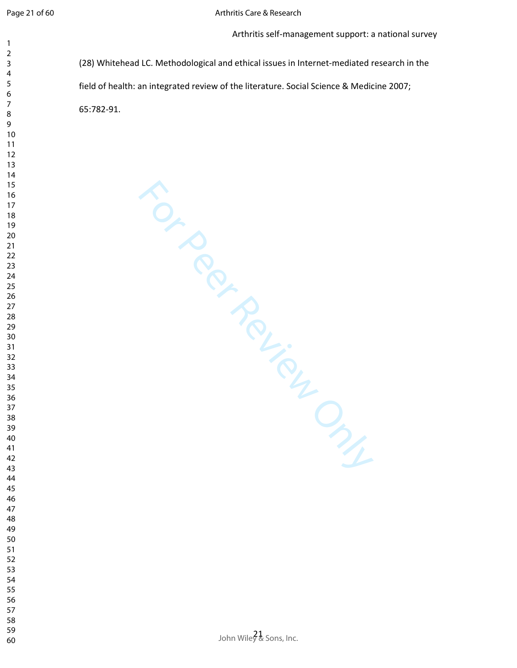$\mathbf{1}$  $\overline{2}$  $\overline{4}$  $\overline{7}$ 

Arthritis Care & Research

Arthritis self-management support: a national survey

(28) Whitehead LC. Methodological and ethical issues in Internet-mediated research in the field of health: an integrated review of the literature. Social Science & Medicine 2007; 65:782-91.

For Peer Review Only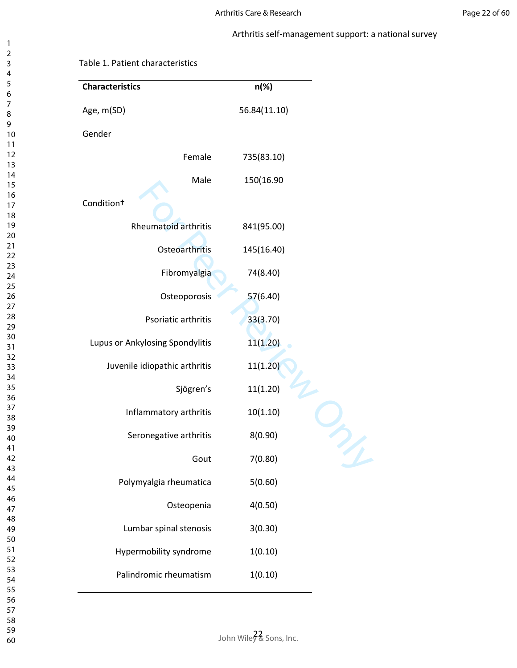$\mathbf{1}$ 

 

Table 1. Patient characteristics

| <b>Characteristics</b>          | $n(\%)$      |
|---------------------------------|--------------|
| Age, m(SD)                      | 56.84(11.10) |
| Gender                          |              |
| Female                          | 735(83.10)   |
| Male<br>Condition <sup>+</sup>  | 150(16.90    |
| Rheumatoid arthritis            | 841(95.00)   |
| Osteoarthritis                  | 145(16.40)   |
| Fibromyalgia                    | 74(8.40)     |
| Osteoporosis                    | 57(6.40)     |
| Psoriatic arthritis             | 33(3.70)     |
| Lupus or Ankylosing Spondylitis | 11(1.20)     |
| Juvenile idiopathic arthritis   | 11(1.20)     |
| Sjögren's                       | 11(1.20)     |
| Inflammatory arthritis          | 10(1.10)     |
| Seronegative arthritis          | 8(0.90)      |
| Gout                            | 7(0.80)      |
| Polymyalgia rheumatica          | 5(0.60)      |
| Osteopenia                      | 4(0.50)      |
| Lumbar spinal stenosis          | 3(0.30)      |
| Hypermobility syndrome          | 1(0.10)      |
| Palindromic rheumatism          | 1(0.10)      |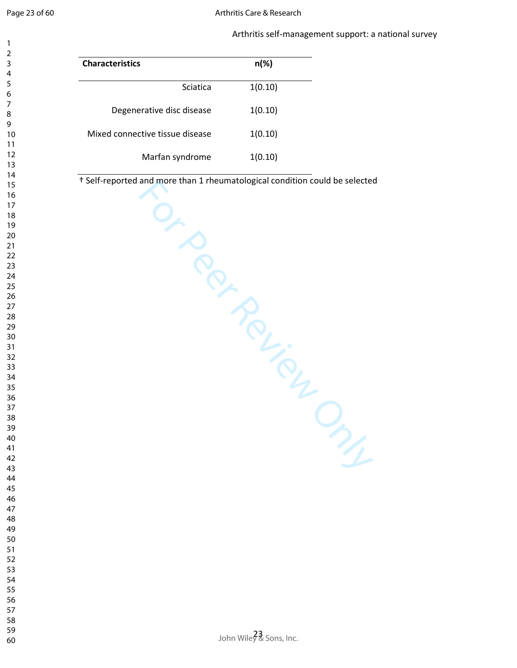Page 23 of 60

 $\mathbf{1}$  $\overline{2}$  $\overline{4}$  $\overline{7}$ 

Arthritis self-management support: a national survey

| <b>Characteristics</b>          | $n(\%)$ |
|---------------------------------|---------|
| Sciatica                        | 1(0.10) |
| Degenerative disc disease       | 1(0.10) |
| Mixed connective tissue disease | 1(0.10) |
| Marfan syndrome                 | 1(0.10) |

From The United States Concernsions of the selection † Self-reported and more than 1 rheumatological condition could be selected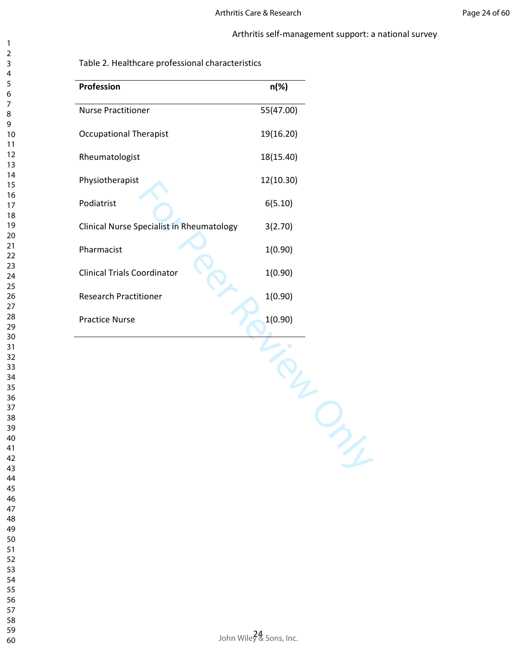### $\overline{2}$  $\overline{7}$

 $\mathbf{1}$ 

  Table 2. Healthcare professional characteristics

| Profession                                | $n(\%)$   |
|-------------------------------------------|-----------|
| <b>Nurse Practitioner</b>                 | 55(47.00) |
| <b>Occupational Therapist</b>             | 19(16.20) |
| Rheumatologist                            | 18(15.40) |
| Physiotherapist                           | 12(10.30) |
| Podiatrist                                | 6(5.10)   |
| Clinical Nurse Specialist in Rheumatology | 3(2.70)   |
| Pharmacist                                | 1(0.90)   |
| <b>Clinical Trials Coordinator</b>        | 1(0.90)   |
| <b>Research Practitioner</b>              | 1(0.90)   |
| <b>Practice Nurse</b>                     | 1(0.90)   |
|                                           |           |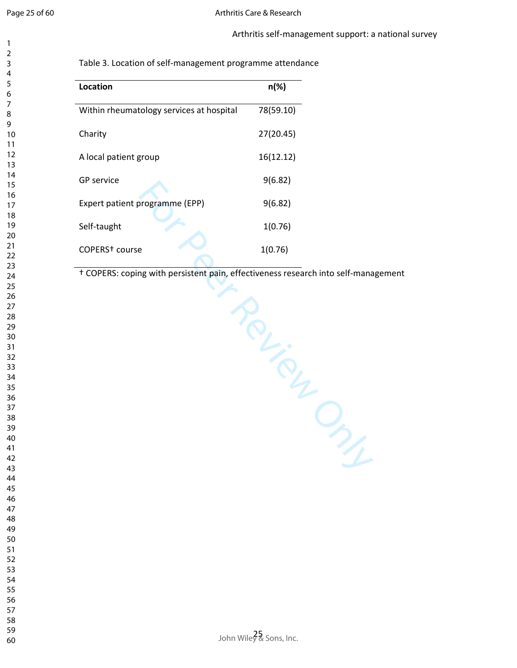$\mathbf{1}$  $\overline{2}$  $\overline{\mathbf{4}}$  $\overline{7}$ 

### Arthritis self-management support: a national survey

Table 3. Location of self-management programme attendance

| Location                                 | $n(\%)$   |
|------------------------------------------|-----------|
| Within rheumatology services at hospital | 78(59.10) |
| Charity                                  | 27(20.45) |
| A local patient group                    | 16(12.12) |
| GP service                               | 9(6.82)   |
| Expert patient programme (EPP)           | 9(6.82)   |
| Self-taught                              | 1(0.76)   |
| COPERS <sup>+</sup> course               | 1(0.76)   |

The persistent pain, effectiveness research into self-management † COPERS: coping with persistent pain, effectiveness research into self-management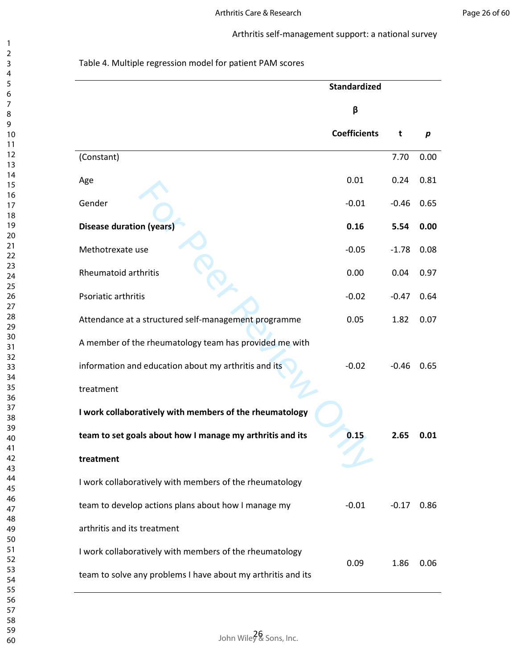### Arthritis Care & Research

### Arthritis self-management support: a national survey

| 1               |  |
|-----------------|--|
| $\overline{c}$  |  |
| 3               |  |
| 4               |  |
| 5               |  |
|                 |  |
| 6<br>7          |  |
|                 |  |
| 8               |  |
| 9               |  |
| 10              |  |
| $\overline{11}$ |  |
| $\overline{12}$ |  |
| 13              |  |
| $\overline{14}$ |  |
| $\frac{15}{2}$  |  |
|                 |  |
| 16<br>17        |  |
| 18              |  |
| 19              |  |
|                 |  |
| 20<br>21<br>22  |  |
|                 |  |
|                 |  |
| 23              |  |
| 24              |  |
| 25              |  |
| 26              |  |
| 27              |  |
| 28              |  |
| 29              |  |
| 30              |  |
| 31              |  |
| 32              |  |
| 33              |  |
| 34              |  |
| 35              |  |
|                 |  |
| 36              |  |
| 37              |  |
| 88<br>j         |  |
| 39              |  |
| 40              |  |
| 41              |  |
| 42              |  |
| 43              |  |
| 44              |  |
| 45              |  |
| 46              |  |
| 47              |  |
| 48              |  |
| 49              |  |
| 50              |  |
| 51              |  |
|                 |  |
| 52              |  |
| 53              |  |
| 54              |  |
| 55              |  |
| 56              |  |
| 57              |  |
| 58              |  |
| 59              |  |
| 60              |  |

|  | Table 4. Multiple regression model for patient PAM scores |
|--|-----------------------------------------------------------|
|--|-----------------------------------------------------------|

|                                                              | <b>Standardized</b> |         |      |
|--------------------------------------------------------------|---------------------|---------|------|
|                                                              | β                   |         |      |
|                                                              | <b>Coefficients</b> | t       | р    |
| (Constant)                                                   |                     | 7.70    | 0.00 |
| Age                                                          | 0.01                | 0.24    | 0.81 |
| Gender                                                       | $-0.01$             | $-0.46$ | 0.65 |
| <b>Disease duration (years)</b>                              | 0.16                | 5.54    | 0.00 |
| Methotrexate use                                             | $-0.05$             | $-1.78$ | 0.08 |
| Rheumatoid arthritis                                         | 0.00                | 0.04    | 0.97 |
| Psoriatic arthritis                                          | $-0.02$             | $-0.47$ | 0.64 |
| Attendance at a structured self-management programme         | 0.05                | 1.82    | 0.07 |
| A member of the rheumatology team has provided me with       |                     |         |      |
| information and education about my arthritis and its         | $-0.02$             | $-0.46$ | 0.65 |
| treatment                                                    |                     |         |      |
| I work collaboratively with members of the rheumatology      |                     |         |      |
| team to set goals about how I manage my arthritis and its    | 0.15                | 2.65    | 0.01 |
| treatment                                                    |                     |         |      |
| I work collaboratively with members of the rheumatology      |                     |         |      |
| team to develop actions plans about how I manage my          | $-0.01$             | $-0.17$ | 0.86 |
| arthritis and its treatment                                  |                     |         |      |
| I work collaboratively with members of the rheumatology      |                     |         |      |
| team to solve any problems I have about my arthritis and its | 0.09                | 1.86    | 0.06 |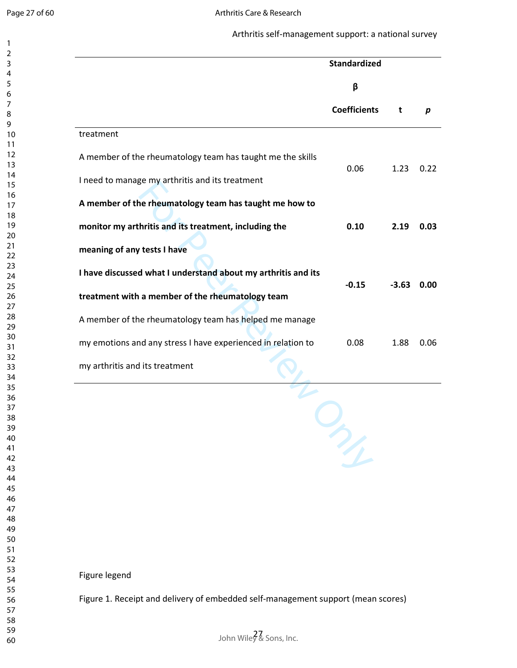$\mathbf{1}$ 

|                                                                                  | <b>Standardized</b>         |         |      |
|----------------------------------------------------------------------------------|-----------------------------|---------|------|
|                                                                                  |                             |         |      |
|                                                                                  | β                           |         |      |
|                                                                                  |                             |         |      |
|                                                                                  | <b>Coefficients</b>         | t       | р    |
|                                                                                  |                             |         |      |
| treatment                                                                        |                             |         |      |
|                                                                                  |                             |         |      |
|                                                                                  |                             |         |      |
| A member of the rheumatology team has taught me the skills                       | 0.06                        | 1.23    | 0.22 |
|                                                                                  |                             |         |      |
| I need to manage my arthritis and its treatment                                  |                             |         |      |
|                                                                                  |                             |         |      |
| A member of the rheumatology team has taught me how to                           |                             |         |      |
|                                                                                  |                             |         |      |
| monitor my arthritis and its treatment, including the                            | 0.10                        | 2.19    | 0.03 |
|                                                                                  |                             |         |      |
| meaning of any tests I have                                                      |                             |         |      |
|                                                                                  |                             |         |      |
| I have discussed what I understand about my arthritis and its                    |                             |         |      |
|                                                                                  | $-0.15$                     | $-3.63$ | 0.00 |
| treatment with a member of the rheumatology team                                 |                             |         |      |
|                                                                                  |                             |         |      |
| A member of the rheumatology team has helped me manage                           |                             |         |      |
|                                                                                  |                             |         |      |
| my emotions and any stress I have experienced in relation to                     | 0.08                        | 1.88    | 0.06 |
|                                                                                  |                             |         |      |
| my arthritis and its treatment                                                   |                             |         |      |
|                                                                                  |                             |         |      |
|                                                                                  |                             |         |      |
|                                                                                  |                             |         |      |
|                                                                                  |                             |         |      |
|                                                                                  |                             |         |      |
|                                                                                  | $\mathcal{D}_{\mathcal{L}}$ |         |      |
|                                                                                  |                             |         |      |
|                                                                                  |                             |         |      |
|                                                                                  |                             |         |      |
|                                                                                  |                             |         |      |
|                                                                                  |                             |         |      |
|                                                                                  |                             |         |      |
|                                                                                  |                             |         |      |
|                                                                                  |                             |         |      |
|                                                                                  |                             |         |      |
|                                                                                  |                             |         |      |
|                                                                                  |                             |         |      |
| Figure legend                                                                    |                             |         |      |
|                                                                                  |                             |         |      |
| Figure 1. Receipt and delivery of embedded self-management support (mean scores) |                             |         |      |
|                                                                                  |                             |         |      |
|                                                                                  |                             |         |      |
|                                                                                  |                             |         |      |
| John Wiley & Sons, Inc.                                                          |                             |         |      |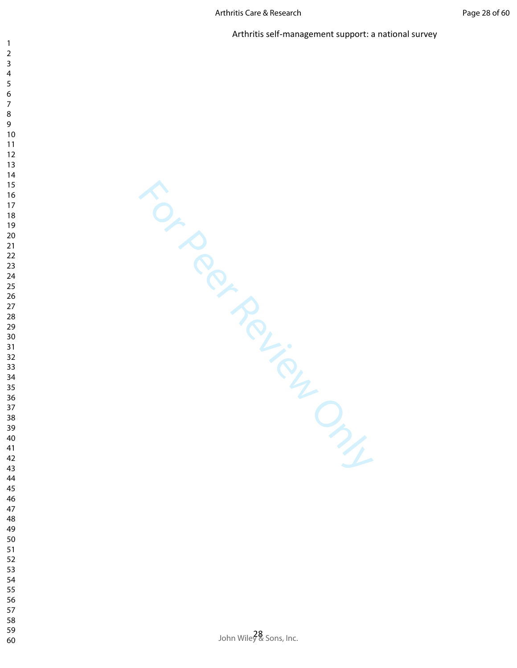Arthritis self-management support: a national survey

For Peer Review Only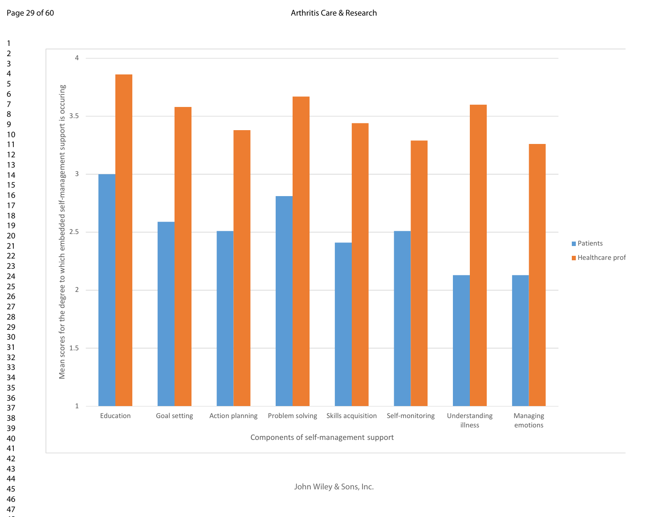

## Mean scores for the degree to which embedded self-management support is occuring Mean scores for the degree to which embedded self-management support is occuring 3.5For Peer Review Only2.5**Patients**  $\blacksquare$  Healthcare prof 1.5Education Goal setting Action planning Problem solving Skills acquisition Self-monitoring Understanding Managingillness emotionsComponents of self-management supportJohn Wiley & Sons, Inc.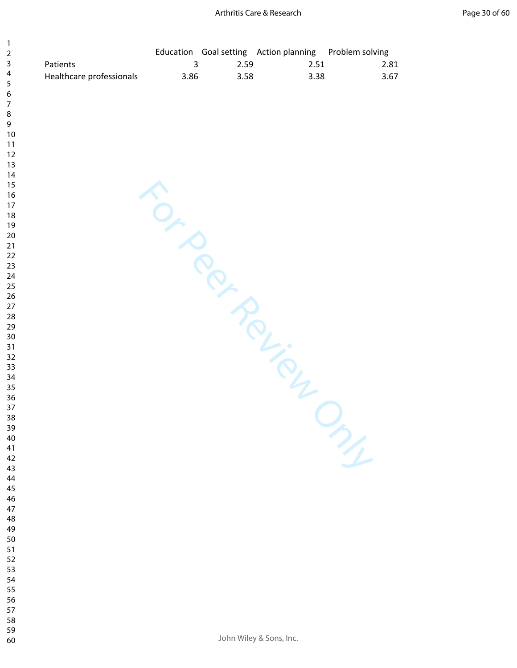| Patients<br>Healthcare professionals | $\overline{\mathbf{3}}$<br>3.86 | 2.59<br>3.58 | 2.51<br>3.38            | Education Goal setting Action planning Problem solving<br>2.81<br>3.67 |
|--------------------------------------|---------------------------------|--------------|-------------------------|------------------------------------------------------------------------|
|                                      |                                 |              |                         |                                                                        |
|                                      |                                 |              |                         |                                                                        |
|                                      |                                 |              |                         |                                                                        |
|                                      |                                 |              | L.C.                    |                                                                        |
|                                      |                                 |              |                         | ny                                                                     |
|                                      |                                 |              |                         |                                                                        |
|                                      |                                 |              |                         |                                                                        |
|                                      |                                 |              | John Wiley & Sons, Inc. |                                                                        |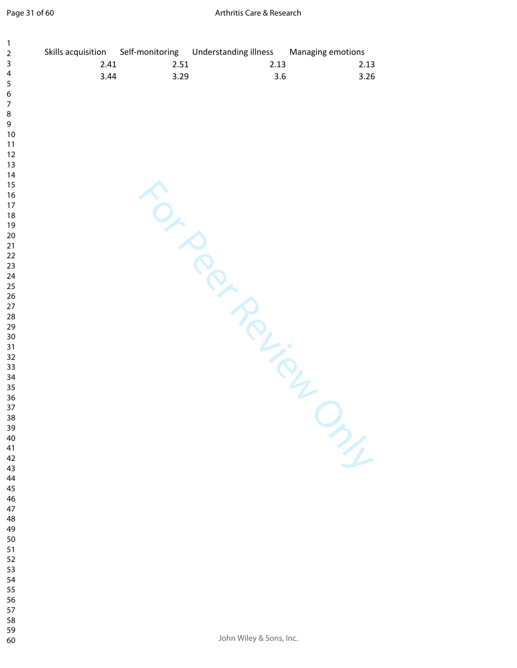| 1<br>$\mathbf 2$<br>3<br>$\overline{\mathcal{A}}$<br>5<br>6<br>$\overline{7}$<br>8                                                                                                                       | 2.41<br>3.44 | Skills acquisition Self-monitoring<br>2.51<br>3.29 | <b>Understanding illness</b> | Managing emotions<br>2.13<br>3.6 | 2.13<br>3.26 |
|----------------------------------------------------------------------------------------------------------------------------------------------------------------------------------------------------------|--------------|----------------------------------------------------|------------------------------|----------------------------------|--------------|
| 9<br>$10$<br>11<br>12<br>13<br>14<br>15<br>$16$<br>$17\,$<br>$18\,$<br>$19$<br>$20\,$<br>$21\,$<br>22<br>23<br>24<br>25<br>$26\,$                                                                        |              | $O_{\mu}$                                          |                              |                                  |              |
| 27<br>28<br>29<br>$30\,$<br>31<br>32<br>33<br>34<br>35<br>$36\,$<br>37<br>38<br>39<br>$40\,$<br>41<br>42<br>43<br>44<br>45<br>46<br>47<br>48<br>49<br>50<br>51<br>52<br>53<br>54<br>55<br>56<br>57<br>58 |              |                                                    | iP Runch                     | ny                               |              |
| 59<br>60                                                                                                                                                                                                 |              |                                                    | John Wiley & Sons, Inc.      |                                  |              |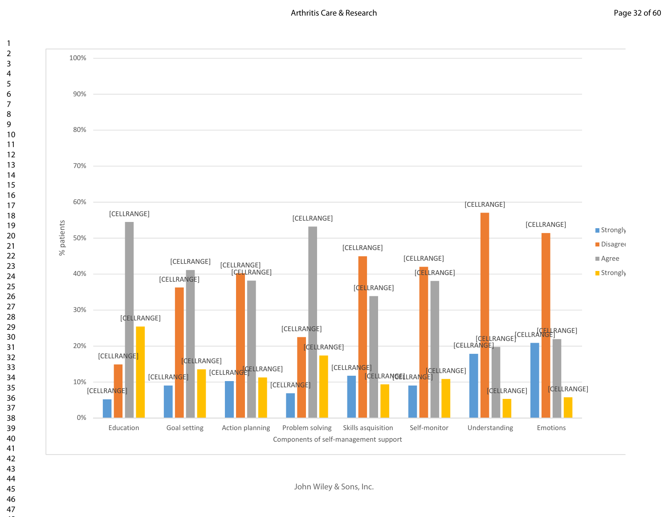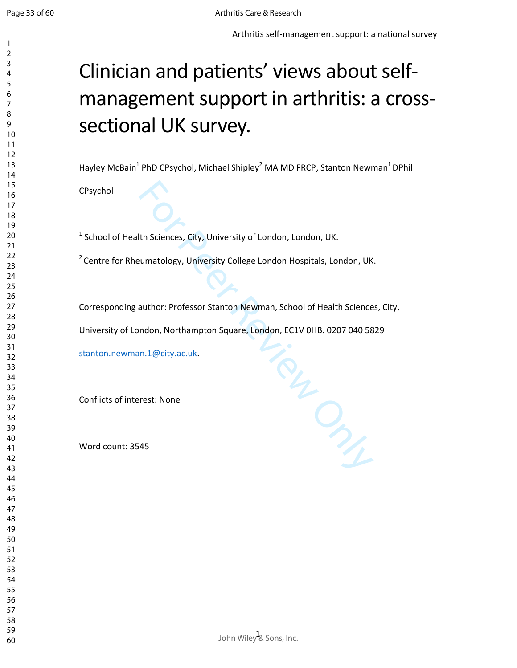For Prince

# Clinician and patients' views about selfmanagement support in arthritis: a crosssectional UK survey.

Hayley McBain<sup>1</sup> PhD CPsychol, Michael Shipley<sup>2</sup> MA MD FRCP, Stanton Newman<sup>1</sup> DPhil

CPsychol

 $<sup>1</sup>$  School of Health Sciences, City, University of London, London, UK.</sup>

<sup>2</sup> Centre for Rheumatology, University College London Hospitals, London, UK.

Corresponding author: Professor Stanton Newman, School of Health Sciences, City,

University of London, Northampton Square, London, EC1V 0HB. 0207 040 5829

stanton.newman.1@city.ac.uk.

Conflicts of interest: None

Word count: 3545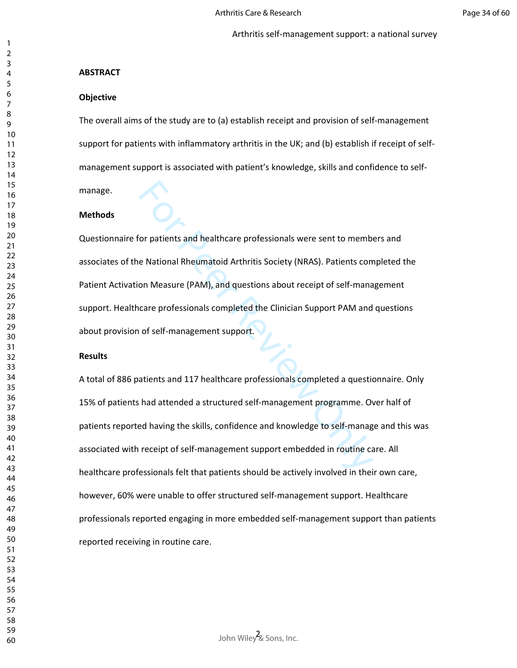### **ABSTRACT**

### **Objective**

The overall aims of the study are to (a) establish receipt and provision of self-management support for patients with inflammatory arthritis in the UK; and (b) establish if receipt of selfmanagement support is associated with patient's knowledge, skills and confidence to self-

manage.

### **Methods**

Questionnaire for patients and healthcare professionals were sent to members and associates of the National Rheumatoid Arthritis Society (NRAS). Patients completed the Patient Activation Measure (PAM), and questions about receipt of self-management support. Healthcare professionals completed the Clinician Support PAM and questions about provision of self-management support.

### **Results**

For patients and healthcare professionals were sent to members<br>
Expected National Rheumatoid Arthritis Society (NRAS). Patients com<br>
In Measure (PAM), and questions about receipt of self-mana<br>
In acare professionals comple A total of 886 patients and 117 healthcare professionals completed a questionnaire. Only 15% of patients had attended a structured self-management programme. Over half of patients reported having the skills, confidence and knowledge to self-manage and this was associated with receipt of self-management support embedded in routine care. All healthcare professionals felt that patients should be actively involved in their own care, however, 60% were unable to offer structured self-management support. Healthcare professionals reported engaging in more embedded self-management support than patients reported receiving in routine care.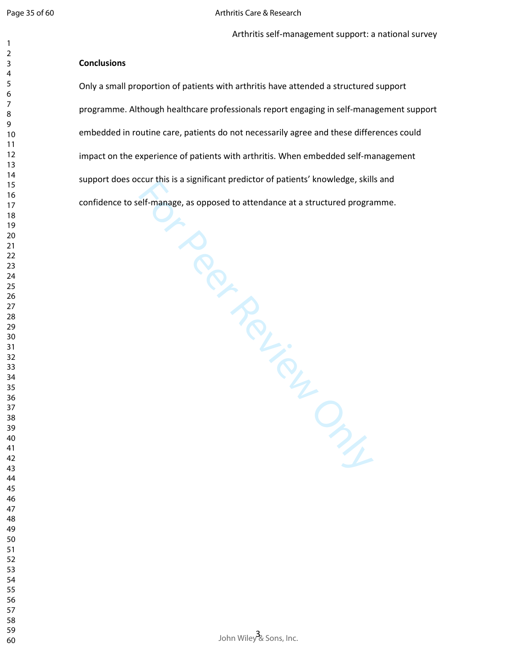$\mathbf{1}$  $\overline{2}$  $\overline{\mathbf{4}}$  $\overline{7}$ 

Arthritis self-management support: a national survey

### **Conclusions**

Sia coppose. Only a small proportion of patients with arthritis have attended a structured support programme. Although healthcare professionals report engaging in self-management support embedded in routine care, patients do not necessarily agree and these differences could impact on the experience of patients with arthritis. When embedded self-management support does occur this is a significant predictor of patients' knowledge, skills and confidence to self-manage, as opposed to attendance at a structured programme.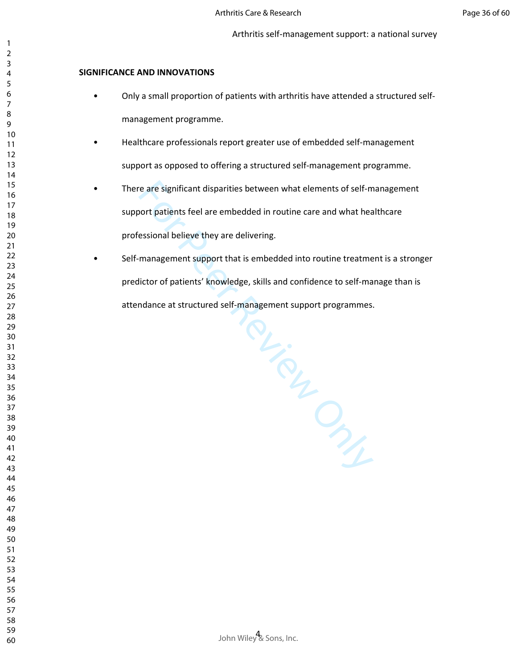### **SIGNIFICANCE AND INNOVATIONS**

- Only a small proportion of patients with arthritis have attended a structured selfmanagement programme.<br>• Healthcare professionals report greater use of embedded self-management
- support as opposed to offering a structured self-management programme.
- There are significant disparities between what elements of self-management support patients feel are embedded in routine care and what healthcare professional believe they are delivering.
- TRU-SOLLING Self-management support that is embedded into routine treatment is a stronger predictor of patients' knowledge, skills and confidence to self-manage than is attendance at structured self-management support programmes.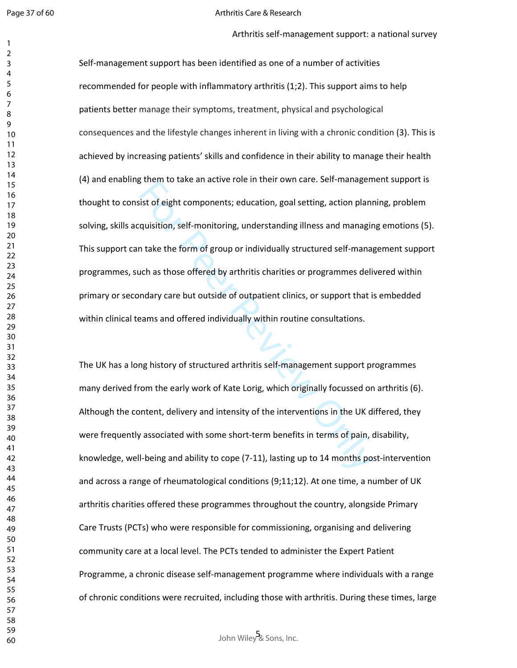$\mathbf{1}$  $\overline{2}$  $\overline{\mathbf{4}}$  $\overline{7}$ 

### Arthritis Care & Research

Arthritis self-management support: a national survey

| Self-management support has been identified as one of a number of activities                    |
|-------------------------------------------------------------------------------------------------|
| recommended for people with inflammatory arthritis (1;2). This support aims to help             |
| patients better manage their symptoms, treatment, physical and psychological                    |
| consequences and the lifestyle changes inherent in living with a chronic condition (3). This is |
| achieved by increasing patients' skills and confidence in their ability to manage their health  |
| (4) and enabling them to take an active role in their own care. Self-management support is      |
| thought to consist of eight components; education, goal setting, action planning, problem       |
| solving, skills acquisition, self-monitoring, understanding illness and managing emotions (5).  |
| This support can take the form of group or individually structured self-management support      |
| programmes, such as those offered by arthritis charities or programmes delivered within         |
| primary or secondary care but outside of outpatient clinics, or support that is embedded        |
| within clinical teams and offered individually within routine consultations.                    |
|                                                                                                 |
| The UK has a long history of structured arthritis self-management support programmes            |
| many derived from the early work of Kate Lorig, which originally focussed on arthritis (6).     |
| Although the content, delivery and intensity of the interventions in the UK differed, they      |
| were frequently associated with some short-term benefits in terms of pain, disability,          |
| knowledge, well-being and ability to cope (7-11), lasting up to 14 months post-intervention     |
|                                                                                                 |

The UK has a long history of structured arthritis self-management support programmes many derived from the early work of Kate Lorig, which originally focussed on arthritis (6). Although the content, delivery and intensity of the interventions in the UK differed, they were frequently associated with some short-term benefits in terms of pain, disability, knowledge, well-being and ability to cope (7-11), lasting up to 14 months post-intervention and across a range of rheumatological conditions (9;11;12). At one time, a number of UK arthritis charities offered these programmes throughout the country, alongside Primary Care Trusts (PCTs) who were responsible for commissioning, organising and delivering community care at a local level. The PCTs tended to administer the Expert Patient Programme, a chronic disease self-management programme where individuals with a range of chronic conditions were recruited, including those with arthritis. During these times, large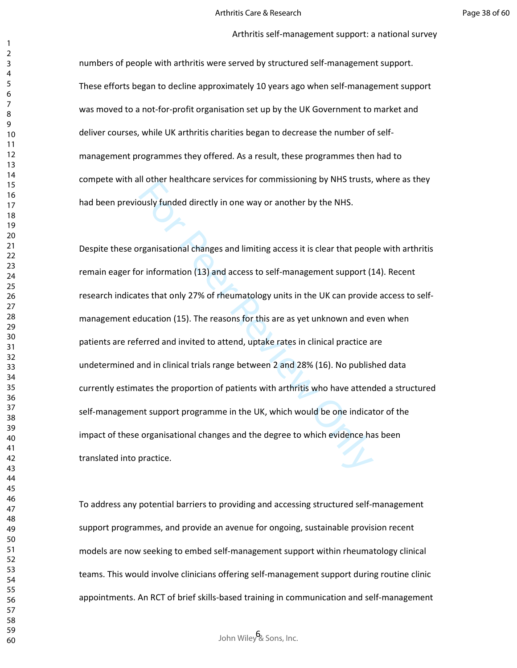numbers of people with arthritis were served by structured self-management support. These efforts began to decline approximately 10 years ago when self-management support was moved to a not-for-profit organisation set up by the UK Government to market and deliver courses, while UK arthritis charities began to decrease the number of selfmanagement programmes they offered. As a result, these programmes then had to compete with all other healthcare services for commissioning by NHS trusts, where as they had been previously funded directly in one way or another by the NHS.

moder nearthcate services for commissioning by with class,<br>busly funded directly in one way or another by the NHS.<br>rganisational changes and limiting access it is clear that peop<br>or information (13) and access to self-mana Despite these organisational changes and limiting access it is clear that people with arthritis remain eager for information (13) and access to self-management support (14). Recent research indicates that only 27% of rheumatology units in the UK can provide access to selfmanagement education (15). The reasons for this are as yet unknown and even when patients are referred and invited to attend, uptake rates in clinical practice are undetermined and in clinical trials range between 2 and 28% (16). No published data currently estimates the proportion of patients with arthritis who have attended a structured self-management support programme in the UK, which would be one indicator of the impact of these organisational changes and the degree to which evidence has been translated into practice.

To address any potential barriers to providing and accessing structured self-management support programmes, and provide an avenue for ongoing, sustainable provision recent models are now seeking to embed self-management support within rheumatology clinical teams. This would involve clinicians offering self-management support during routine clinic appointments. An RCT of brief skills-based training in communication and self-management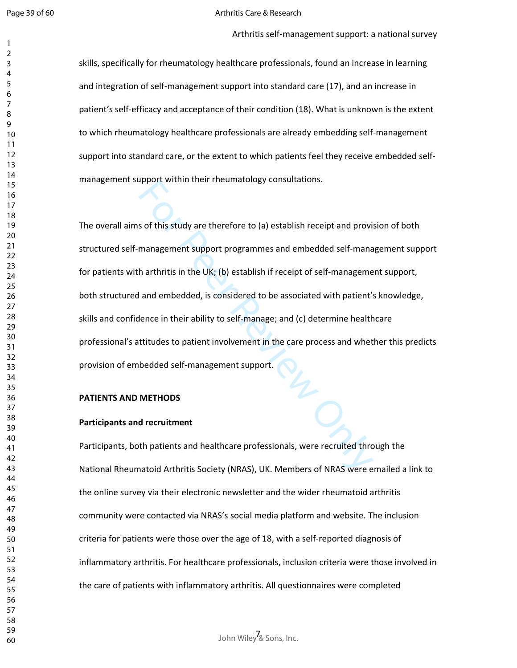#### Arthritis Care & Research

Arthritis self-management support: a national survey

skills, specifically for rheumatology healthcare professionals, found an increase in learning and integration of self-management support into standard care (17), and an increase in patient's self-efficacy and acceptance of their condition (18). What is unknown is the extent to which rheumatology healthcare professionals are already embedding self-management support into standard care, or the extent to which patients feel they receive embedded selfmanagement support within their rheumatology consultations.

sof this study are therefore to (a) establish receipt and provisor and a more therefore to (a) establish receipt and provisor and an arthritis in the UK; (b) establish if receipt of self-management and embedded, is conside The overall aims of this study are therefore to (a) establish receipt and provision of both structured self-management support programmes and embedded self-management support for patients with arthritis in the UK; (b) establish if receipt of self-management support, both structured and embedded, is considered to be associated with patient's knowledge, skills and confidence in their ability to self-manage; and (c) determine healthcare professional's attitudes to patient involvement in the care process and whether this predicts provision of embedded self-management support.

### **PATIENTS AND METHODS**

### **Participants and recruitment**

Participants, both patients and healthcare professionals, were recruited through the National Rheumatoid Arthritis Society (NRAS), UK. Members of NRAS were emailed a link to the online survey via their electronic newsletter and the wider rheumatoid arthritis community were contacted via NRAS's social media platform and website. The inclusion criteria for patients were those over the age of 18, with a self-reported diagnosis of inflammatory arthritis. For healthcare professionals, inclusion criteria were those involved in the care of patients with inflammatory arthritis. All questionnaires were completed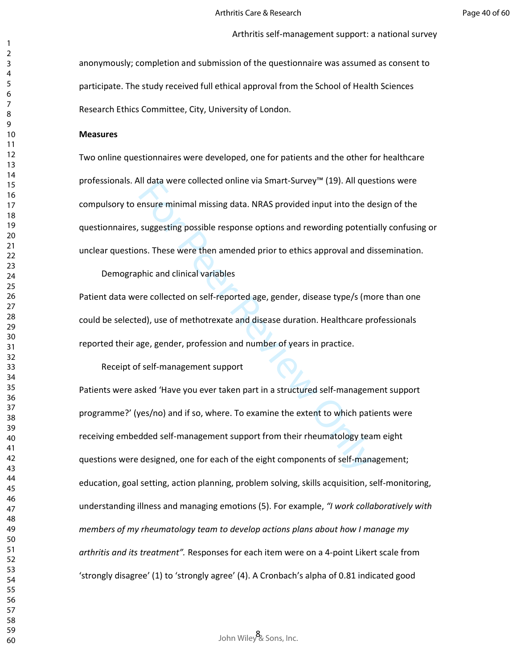anonymously; completion and submission of the questionnaire was assumed as consent to participate. The study received full ethical approval from the School of Health Sciences Research Ethics Committee, City, University of London.

### **Measures**

Two online questionnaires were developed, one for patients and the other for healthcare professionals. All data were collected online via Smart-Survey™ (19). All questions were compulsory to ensure minimal missing data. NRAS provided input into the design of the questionnaires, suggesting possible response options and rewording potentially confusing or unclear questions. These were then amended prior to ethics approval and dissemination.

Demographic and clinical variables

Patient data were collected on self-reported age, gender, disease type/s (more than one could be selected), use of methotrexate and disease duration. Healthcare professionals reported their age, gender, profession and number of years in practice.

Receipt of self-management support

In data were conected omine via smart-survey"" (19). An questensure minimal missing data. NRAS provided input into the desuggesting possible response options and rewording potentions. These were then amended prior to ethic Patients were asked 'Have you ever taken part in a structured self-management support programme?' (yes/no) and if so, where. To examine the extent to which patients were receiving embedded self-management support from their rheumatology team eight questions were designed, one for each of the eight components of self-management; education, goal setting, action planning, problem solving, skills acquisition, self-monitoring, understanding illness and managing emotions (5). For example, *"I work collaboratively with members of my rheumatology team to develop actions plans about how I manage my arthritis and its treatment".* Responses for each item were on a 4-point Likert scale from 'strongly disagree' (1) to 'strongly agree' (4). A Cronbach's alpha of 0.81 indicated good

John Wiley & Sons, Inc.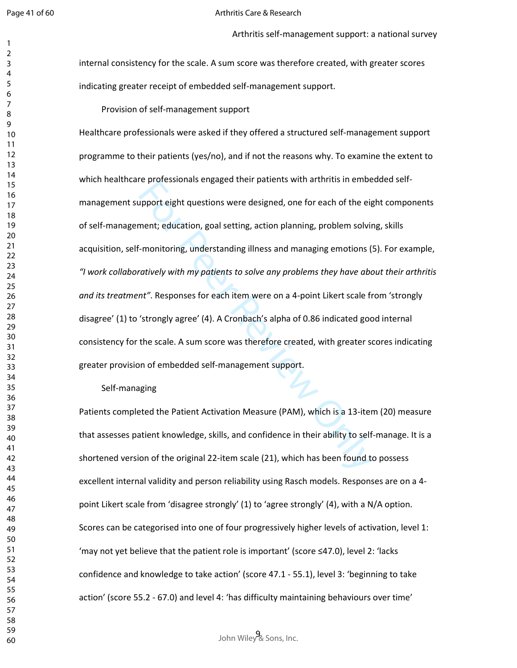$\mathbf{1}$  $\overline{2}$  $\overline{\mathbf{4}}$  $\overline{7}$ 

#### Arthritis Care & Research

Arthritis self-management support: a national survey

internal consistency for the scale. A sum score was therefore created, with greater scores indicating greater receipt of embedded self-management support.

Provision of self-management support

reprofessionals engaged their pattents with a thrists in entire<br>tipport eight questions were designed, one for each of the eigenent; education, goal setting, action planning, problem solvir<br>F-monitoring, understanding illn Healthcare professionals were asked if they offered a structured self-management support programme to their patients (yes/no), and if not the reasons why. To examine the extent to which healthcare professionals engaged their patients with arthritis in embedded selfmanagement support eight questions were designed, one for each of the eight components of self-management; education, goal setting, action planning, problem solving, skills acquisition, self-monitoring, understanding illness and managing emotions (5). For example, *"I work collaboratively with my patients to solve any problems they have about their arthritis and its treatment"*. Responses for each item were on a 4-point Likert scale from 'strongly disagree' (1) to 'strongly agree' (4). A Cronbach's alpha of 0.86 indicated good internal consistency for the scale. A sum score was therefore created, with greater scores indicating greater provision of embedded self-management support.

Self-managing

Patients completed the Patient Activation Measure (PAM), which is a 13-item (20) measure that assesses patient knowledge, skills, and confidence in their ability to self-manage. It is a shortened version of the original 22-item scale (21), which has been found to possess excellent internal validity and person reliability using Rasch models. Responses are on a 4 point Likert scale from 'disagree strongly' (1) to 'agree strongly' (4), with a N/A option. Scores can be categorised into one of four progressively higher levels of activation, level 1: 'may not yet believe that the patient role is important' (score ≤47.0), level 2: 'lacks confidence and knowledge to take action' (score 47.1 - 55.1), level 3: 'beginning to take action' (score 55.2 - 67.0) and level 4: 'has difficulty maintaining behaviours over time'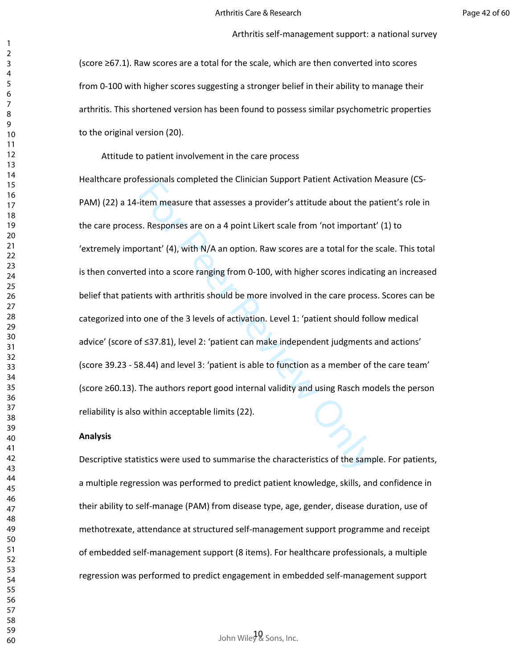(score ≥67.1). Raw scores are a total for the scale, which are then converted into scores from 0-100 with higher scores suggesting a stronger belief in their ability to manage their arthritis. This shortened version has been found to possess similar psychometric properties to the original version (20).

Essionals completed the cinician support Patient Activation<br>item measure that assesses a provider's attitude about the p<br>s. Responses are on a 4 point Likert scale from 'not important<br>ortant' (4), with N/A an option. Raw s Attitude to patient involvement in the care process Healthcare professionals completed the Clinician Support Patient Activation Measure (CS-PAM) (22) a 14-item measure that assesses a provider's attitude about the patient's role in the care process. Responses are on a 4 point Likert scale from 'not important' (1) to 'extremely important' (4), with N/A an option. Raw scores are a total for the scale. This total is then converted into a score ranging from 0-100, with higher scores indicating an increased belief that patients with arthritis should be more involved in the care process. Scores can be categorized into one of the 3 levels of activation. Level 1: 'patient should follow medical advice' (score of ≤37.81), level 2: 'patient can make independent judgments and actions' (score 39.23 - 58.44) and level 3: 'patient is able to function as a member of the care team' (score ≥60.13). The authors report good internal validity and using Rasch models the person reliability is also within acceptable limits (22).

### **Analysis**

Descriptive statistics were used to summarise the characteristics of the sample. For patients, a multiple regression was performed to predict patient knowledge, skills, and confidence in their ability to self-manage (PAM) from disease type, age, gender, disease duration, use of methotrexate, attendance at structured self-management support programme and receipt of embedded self-management support (8 items). For healthcare professionals, a multiple regression was performed to predict engagement in embedded self-management support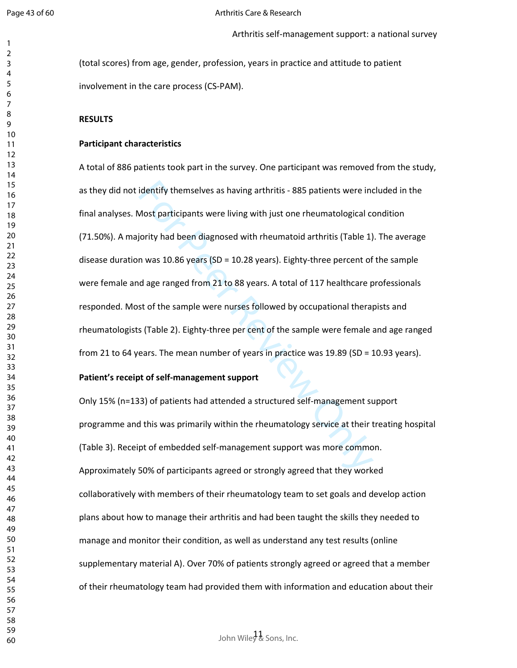$\mathbf{1}$  $\overline{2}$  $\overline{\mathbf{4}}$  $\overline{7}$ 

Arthritis Care & Research

Arthritis self-management support: a national survey

(total scores) from age, gender, profession, years in practice and attitude to patient involvement in the care process (CS-PAM).

### **RESULTS**

### **Participant characteristics**

identify themselves as having arthritis - 885 patients were inc<br>Most participants were living with just one rheumatological co<br>jority had been diagnosed with rheumatoid arthritis (Table 1)<br>n was 10.86 years (SD = 10.28 yea A total of 886 patients took part in the survey. One participant was removed from the study, as they did not identify themselves as having arthritis - 885 patients were included in the final analyses. Most participants were living with just one rheumatological condition (71.50%). A majority had been diagnosed with rheumatoid arthritis (Table 1). The average disease duration was 10.86 years (SD = 10.28 years). Eighty-three percent of the sample were female and age ranged from 21 to 88 years. A total of 117 healthcare professionals responded. Most of the sample were nurses followed by occupational therapists and rheumatologists (Table 2). Eighty-three per cent of the sample were female and age ranged from 21 to 64 years. The mean number of years in practice was 19.89 (SD = 10.93 years).

### **Patient's receipt of self-management support**

Only 15% (n=133) of patients had attended a structured self-management support programme and this was primarily within the rheumatology service at their treating hospital (Table 3). Receipt of embedded self-management support was more common. Approximately 50% of participants agreed or strongly agreed that they worked collaboratively with members of their rheumatology team to set goals and develop action plans about how to manage their arthritis and had been taught the skills they needed to manage and monitor their condition, as well as understand any test results (online supplementary material A). Over 70% of patients strongly agreed or agreed that a member of their rheumatology team had provided them with information and education about their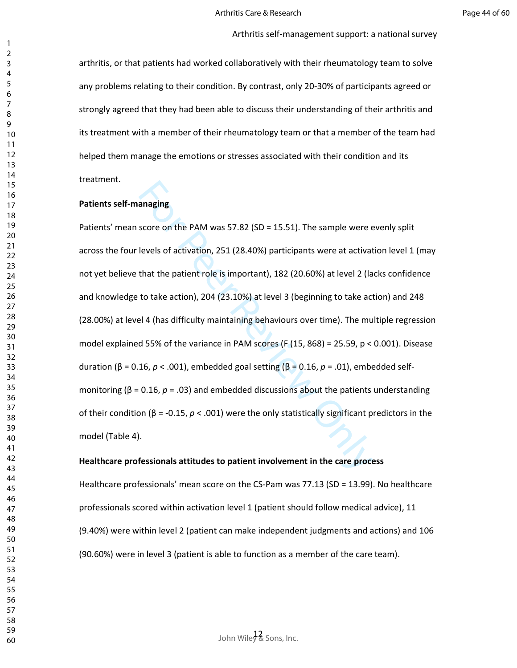arthritis, or that patients had worked collaboratively with their rheumatology team to solve any problems relating to their condition. By contrast, only 20-30% of participants agreed or strongly agreed that they had been able to discuss their understanding of their arthritis and its treatment with a member of their rheumatology team or that a member of the team had helped them manage the emotions or stresses associated with their condition and its treatment.

### **Patients self-managing**

**anaging**<br>score on the PAM was 57.82 (SD = 15.51). The sample were e<br>levels of activation, 251 (28.40%) participants were at activat<br>that the patient role is important), 182 (20.60%) at level 2 (la<br>to take action), 204 (2 Patients' mean score on the PAM was 57.82 (SD = 15.51). The sample were evenly split across the four levels of activation, 251 (28.40%) participants were at activation level 1 (may not yet believe that the patient role is important), 182 (20.60%) at level 2 (lacks confidence and knowledge to take action), 204 (23.10%) at level 3 (beginning to take action) and 248 (28.00%) at level 4 (has difficulty maintaining behaviours over time). The multiple regression model explained 55% of the variance in PAM scores (F  $(15, 868)$  = 25.59, p < 0.001). Disease duration (β = 0.16, *p* < .001), embedded goal setting (β = 0.16, *p* = .01), embedded selfmonitoring (β = 0.16, *p* = .03) and embedded discussions about the patients understanding of their condition ( $\beta$  = -0.15,  $p < .001$ ) were the only statistically significant predictors in the model (Table 4).

### **Healthcare professionals attitudes to patient involvement in the care process**

Healthcare professionals' mean score on the CS-Pam was 77.13 (SD = 13.99). No healthcare professionals scored within activation level 1 (patient should follow medical advice), 11 (9.40%) were within level 2 (patient can make independent judgments and actions) and 106 (90.60%) were in level 3 (patient is able to function as a member of the care team).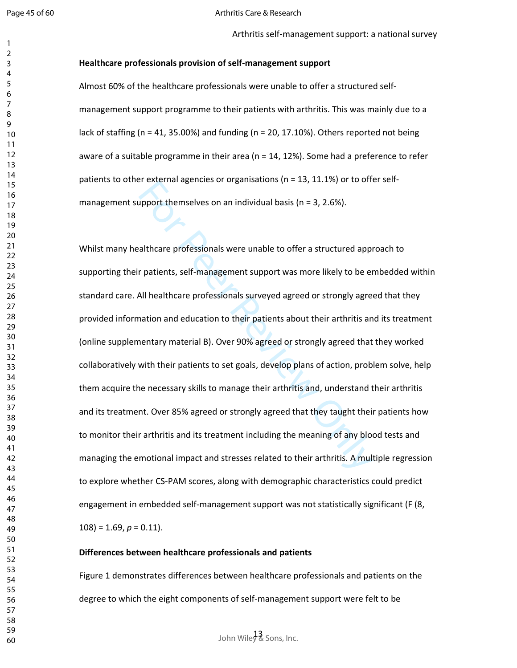$\mathbf{1}$ 

Arthritis Care & Research

Arthritis self-management support: a national survey

### **Healthcare professionals provision of self-management support**

Almost 60% of the healthcare professionals were unable to offer a structured selfmanagement support programme to their patients with arthritis. This was mainly due to a lack of staffing ( $n = 41$ , 35.00%) and funding ( $n = 20$ , 17.10%). Others reported not being aware of a suitable programme in their area ( $n = 14$ , 12%). Some had a preference to refer patients to other external agencies or organisations (n = 13, 11.1%) or to offer selfmanagement support themselves on an individual basis ( $n = 3$ , 2.6%).

En external agencies of organisations  $(n - 13, 11.176)$  of to one<br>upport themselves on an individual basis  $(n = 3, 2.6\%)$ .<br>althcare professionals were unable to offer a structured appr<br>patients, self-management support was Whilst many healthcare professionals were unable to offer a structured approach to supporting their patients, self-management support was more likely to be embedded within standard care. All healthcare professionals surveyed agreed or strongly agreed that they provided information and education to their patients about their arthritis and its treatment (online supplementary material B). Over 90% agreed or strongly agreed that they worked collaboratively with their patients to set goals, develop plans of action, problem solve, help them acquire the necessary skills to manage their arthritis and, understand their arthritis and its treatment. Over 85% agreed or strongly agreed that they taught their patients how to monitor their arthritis and its treatment including the meaning of any blood tests and managing the emotional impact and stresses related to their arthritis. A multiple regression to explore whether CS-PAM scores, along with demographic characteristics could predict engagement in embedded self-management support was not statistically significant (F (8, ) = 1.69,  $p = 0.11$ ).

### **Differences between healthcare professionals and patients**

Figure 1 demonstrates differences between healthcare professionals and patients on the degree to which the eight components of self-management support were felt to be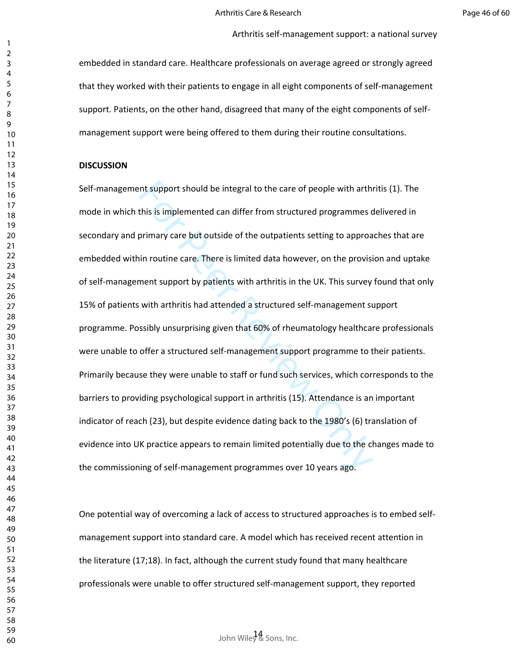embedded in standard care. Healthcare professionals on average agreed or strongly agreed that they worked with their patients to engage in all eight components of self-management support. Patients, on the other hand, disagreed that many of the eight components of selfmanagement support were being offered to them during their routine consultations.

### **DISCUSSION**

Int support should be integral to the care of people with arth<br>this is implemented can differ from structured programmes corrinary care but outside of the outpatients setting to approa<br>in routine care. There is limited dat Self-management support should be integral to the care of people with arthritis (1). The mode in which this is implemented can differ from structured programmes delivered in secondary and primary care but outside of the outpatients setting to approaches that are embedded within routine care. There is limited data however, on the provision and uptake of self-management support by patients with arthritis in the UK. This survey found that only 15% of patients with arthritis had attended a structured self-management support programme. Possibly unsurprising given that 60% of rheumatology healthcare professionals were unable to offer a structured self-management support programme to their patients. Primarily because they were unable to staff or fund such services, which corresponds to the barriers to providing psychological support in arthritis (15). Attendance is an important indicator of reach (23), but despite evidence dating back to the 1980's (6) translation of evidence into UK practice appears to remain limited potentially due to the changes made to the commissioning of self-management programmes over 10 years ago.

One potential way of overcoming a lack of access to structured approaches is to embed selfmanagement support into standard care. A model which has received recent attention in the literature (17;18). In fact, although the current study found that many healthcare professionals were unable to offer structured self-management support, they reported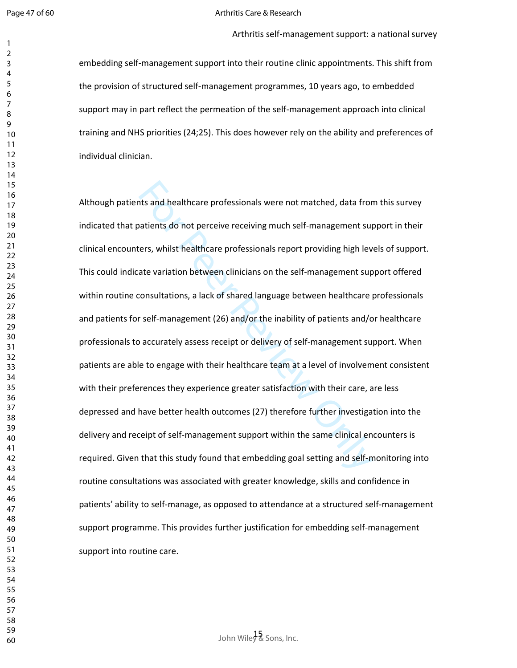$\mathbf{1}$  $\overline{2}$  $\overline{\mathbf{4}}$  $\overline{7}$ 

### Arthritis Care & Research

Arthritis self-management support: a national survey

embedding self-management support into their routine clinic appointments. This shift from the provision of structured self-management programmes, 10 years ago, to embedded support may in part reflect the permeation of the self-management approach into clinical training and NHS priorities (24;25). This does however rely on the ability and preferences of individual clinician.

nts and healthcare professionals were not matched, data from<br>atients do not perceive receiving much self-management surf<br>ers, whilst healthcare professionals report providing high lev<br>ate variation between clinicians on th Although patients and healthcare professionals were not matched, data from this survey indicated that patients do not perceive receiving much self-management support in their clinical encounters, whilst healthcare professionals report providing high levels of support. This could indicate variation between clinicians on the self-management support offered within routine consultations, a lack of shared language between healthcare professionals and patients for self-management (26) and/or the inability of patients and/or healthcare professionals to accurately assess receipt or delivery of self-management support. When patients are able to engage with their healthcare team at a level of involvement consistent with their preferences they experience greater satisfaction with their care, are less depressed and have better health outcomes (27) therefore further investigation into the delivery and receipt of self-management support within the same clinical encounters is required. Given that this study found that embedding goal setting and self-monitoring into routine consultations was associated with greater knowledge, skills and confidence in patients' ability to self-manage, as opposed to attendance at a structured self-management support programme. This provides further justification for embedding self-management support into routine care.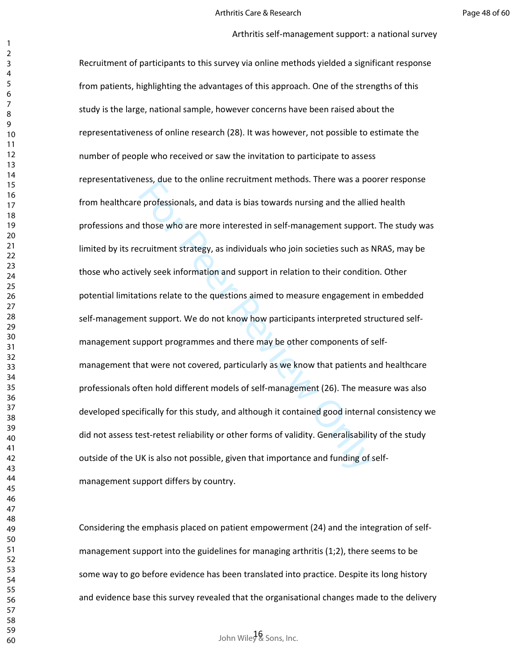Arthritis self-management support: a national survey

ess, these was a potential reconsiliant interiorus. These was a potential perpofessionals, and data is bias towards nursing and the allie<br>If those who are more interested in self-management support<br>cruitment strategy, as i Recruitment of participants to this survey via online methods yielded a significant response from patients, highlighting the advantages of this approach. One of the strengths of this study is the large, national sample, however concerns have been raised about the representativeness of online research (28). It was however, not possible to estimate the number of people who received or saw the invitation to participate to assess representativeness, due to the online recruitment methods. There was a poorer response from healthcare professionals, and data is bias towards nursing and the allied health professions and those who are more interested in self-management support. The study was limited by its recruitment strategy, as individuals who join societies such as NRAS, may be those who actively seek information and support in relation to their condition. Other potential limitations relate to the questions aimed to measure engagement in embedded self-management support. We do not know how participants interpreted structured selfmanagement support programmes and there may be other components of selfmanagement that were not covered, particularly as we know that patients and healthcare professionals often hold different models of self-management (26). The measure was also developed specifically for this study, and although it contained good internal consistency we did not assess test-retest reliability or other forms of validity. Generalisability of the study outside of the UK is also not possible, given that importance and funding of selfmanagement support differs by country.

Considering the emphasis placed on patient empowerment (24) and the integration of selfmanagement support into the guidelines for managing arthritis (1;2), there seems to be some way to go before evidence has been translated into practice. Despite its long history and evidence base this survey revealed that the organisational changes made to the delivery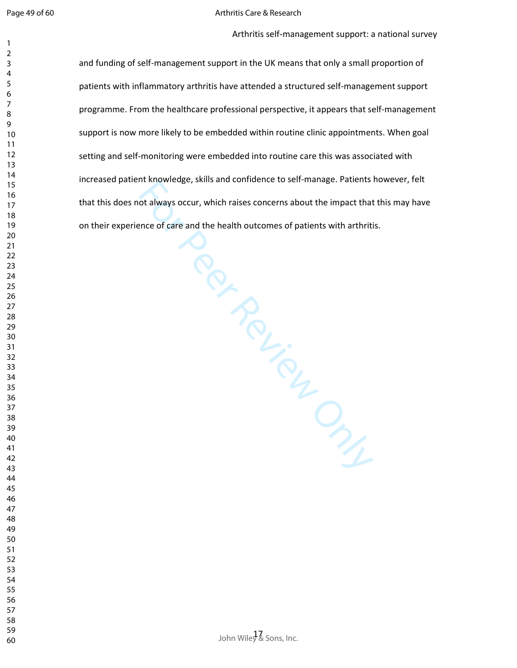### Arthritis Care & Research

Arthritis self-management support: a national survey

| $\mathbf{1}$   |                                                                                                                                                                                                                                                                                                                   |
|----------------|-------------------------------------------------------------------------------------------------------------------------------------------------------------------------------------------------------------------------------------------------------------------------------------------------------------------|
| $\overline{2}$ |                                                                                                                                                                                                                                                                                                                   |
| 3              | and funding of self-management support in the UK means that only a small proportion of                                                                                                                                                                                                                            |
| $\overline{4}$ |                                                                                                                                                                                                                                                                                                                   |
| 5<br>6         | patients with inflammatory arthritis have attended a structured self-management support                                                                                                                                                                                                                           |
| 7<br>8         | programme. From the healthcare professional perspective, it appears that self-management                                                                                                                                                                                                                          |
| 9<br>10        | support is now more likely to be embedded within routine clinic appointments. When goal                                                                                                                                                                                                                           |
| 11             |                                                                                                                                                                                                                                                                                                                   |
| 12<br>13       | setting and self-monitoring were embedded into routine care this was associated with                                                                                                                                                                                                                              |
| 14<br>15       | increased patient knowledge, skills and confidence to self-manage. Patients however, felt                                                                                                                                                                                                                         |
| 16<br>17       | that this does not always occur, which raises concerns about the impact that this may have                                                                                                                                                                                                                        |
| 18<br>19       | on their experience of care and the health outcomes of patients with arthritis.<br>Represent to Date of the Manuscript Changes of the Manuscript Changes of the Manuscript Changes of the Manuscript Changes of the Manuscript Changes of the Manuscript Changes of the Manuscript Changes of the Manuscript Chan |
| 20             |                                                                                                                                                                                                                                                                                                                   |
| 21             |                                                                                                                                                                                                                                                                                                                   |
| 22             |                                                                                                                                                                                                                                                                                                                   |
| 23             |                                                                                                                                                                                                                                                                                                                   |
| 24             |                                                                                                                                                                                                                                                                                                                   |
| 25             |                                                                                                                                                                                                                                                                                                                   |
| 26             |                                                                                                                                                                                                                                                                                                                   |
| 27             |                                                                                                                                                                                                                                                                                                                   |
| 28             |                                                                                                                                                                                                                                                                                                                   |
| 29             |                                                                                                                                                                                                                                                                                                                   |
| 30             |                                                                                                                                                                                                                                                                                                                   |
| 31             |                                                                                                                                                                                                                                                                                                                   |
| 32             |                                                                                                                                                                                                                                                                                                                   |
| 33             |                                                                                                                                                                                                                                                                                                                   |
| 34             |                                                                                                                                                                                                                                                                                                                   |
| 35             |                                                                                                                                                                                                                                                                                                                   |
| 36             |                                                                                                                                                                                                                                                                                                                   |
|                |                                                                                                                                                                                                                                                                                                                   |
| 37             |                                                                                                                                                                                                                                                                                                                   |
| 38             |                                                                                                                                                                                                                                                                                                                   |
| 39             |                                                                                                                                                                                                                                                                                                                   |
| 40             | $\mathcal{P}_{L}$                                                                                                                                                                                                                                                                                                 |
| 41             |                                                                                                                                                                                                                                                                                                                   |
| 42             |                                                                                                                                                                                                                                                                                                                   |
| 43             |                                                                                                                                                                                                                                                                                                                   |
| 44             |                                                                                                                                                                                                                                                                                                                   |
| 45             |                                                                                                                                                                                                                                                                                                                   |
| 46             |                                                                                                                                                                                                                                                                                                                   |
| 47             |                                                                                                                                                                                                                                                                                                                   |
| 48             |                                                                                                                                                                                                                                                                                                                   |
| 49             |                                                                                                                                                                                                                                                                                                                   |
| 50             |                                                                                                                                                                                                                                                                                                                   |
| 51             |                                                                                                                                                                                                                                                                                                                   |
| 52             |                                                                                                                                                                                                                                                                                                                   |
| 53             |                                                                                                                                                                                                                                                                                                                   |
| 54             |                                                                                                                                                                                                                                                                                                                   |
| 55             |                                                                                                                                                                                                                                                                                                                   |
| 56             |                                                                                                                                                                                                                                                                                                                   |
| 57             |                                                                                                                                                                                                                                                                                                                   |
| 58             |                                                                                                                                                                                                                                                                                                                   |
| 59             |                                                                                                                                                                                                                                                                                                                   |
| 60             | John Wiley & Sons, Inc.                                                                                                                                                                                                                                                                                           |
|                |                                                                                                                                                                                                                                                                                                                   |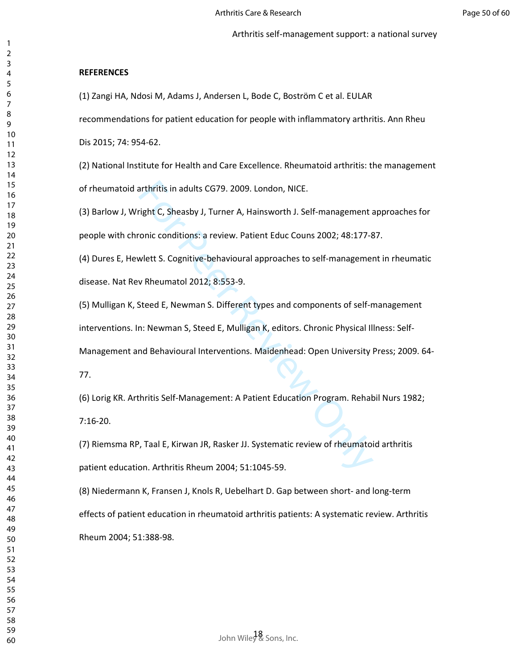### **REFERENCES**

(1) Zangi HA, Ndosi M, Adams J, Andersen L, Bode C, Boström C et al. EULAR

recommendations for patient education for people with inflammatory arthritis. Ann Rheu

Dis 2015; 74: 954-62.

(2) National Institute for Health and Care Excellence. Rheumatoid arthritis: the management of rheumatoid arthritis in adults CG79. 2009. London, NICE.

(3) Barlow J, Wright C, Sheasby J, Turner A, Hainsworth J. Self-management approaches for people with chronic conditions: a review. Patient Educ Couns 2002; 48:177-87.

(4) Dures E, Hewlett S. Cognitive-behavioural approaches to self-management in rheumatic disease. Nat Rev Rheumatol 2012; 8:553-9.

arthritis in adults CG79. 2009. London, NICE.<br>
Fight C, Sheasby J, Turner A, Hainsworth J. Self-management and<br>
conic conditions: a review. Patient Educ Couns 2002; 48:177-8<br>
Melt S. Cognitive-behavioural approaches to sel (5) Mulligan K, Steed E, Newman S. Different types and components of self-management interventions. In: Newman S, Steed E, Mulligan K, editors. Chronic Physical Illness: Self-Management and Behavioural Interventions. Maidenhead: Open University Press; 2009. 64- 77.

(6) Lorig KR. Arthritis Self-Management: A Patient Education Program. Rehabil Nurs 1982; 7:16-20.

(7) Riemsma RP, Taal E, Kirwan JR, Rasker JJ. Systematic review of rheumatoid arthritis patient education. Arthritis Rheum 2004; 51:1045-59.

(8) Niedermann K, Fransen J, Knols R, Uebelhart D. Gap between short- and long-term effects of patient education in rheumatoid arthritis patients: A systematic review. Arthritis Rheum 2004; 51:388-98.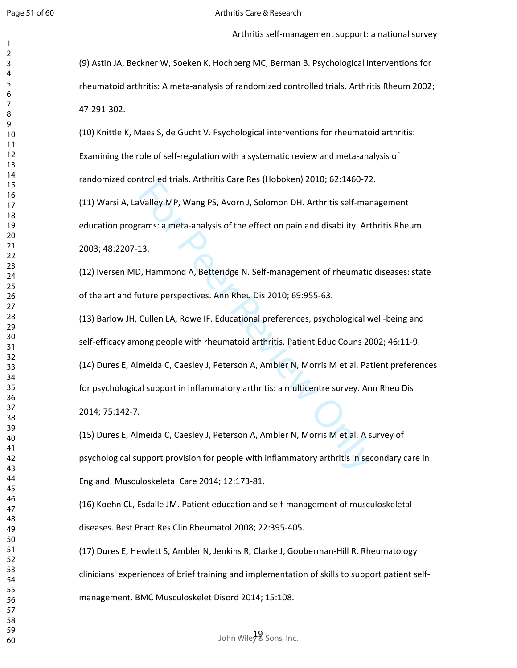Arthritis Care & Research

Arthritis self-management support: a national survey

| (9) Astin JA, Beckner W, Soeken K, Hochberg MC, Berman B. Psychological interventions for    |
|----------------------------------------------------------------------------------------------|
| rheumatoid arthritis: A meta-analysis of randomized controlled trials. Arthritis Rheum 2002; |
| 47:291-302.                                                                                  |

(10) Knittle K, Maes S, de Gucht V. Psychological interventions for rheumatoid arthritis: Examining the role of self-regulation with a systematic review and meta-analysis of randomized controlled trials. Arthritis Care Res (Hoboken) 2010; 62:1460-72.

Italieus trans. Arthritis care nes (1000Kerr) 2010, 02.1400-72<br>Valley MP, Wang PS, Avorn J, Solomon DH. Arthritis self-man<br>rams: a meta-analysis of the effect on pain and disability. Arthritis<br>13.<br>D, Hammond A, Betteridge (11) Warsi A, LaValley MP, Wang PS, Avorn J, Solomon DH. Arthritis self-management education programs: a meta-analysis of the effect on pain and disability. Arthritis Rheum 2003; 48:2207-13.

(12) Iversen MD, Hammond A, Betteridge N. Self-management of rheumatic diseases: state of the art and future perspectives. Ann Rheu Dis 2010; 69:955-63.

(13) Barlow JH, Cullen LA, Rowe IF. Educational preferences, psychological well-being and self-efficacy among people with rheumatoid arthritis. Patient Educ Couns 2002; 46:11-9.

(14) Dures E, Almeida C, Caesley J, Peterson A, Ambler N, Morris M et al. Patient preferences for psychological support in inflammatory arthritis: a multicentre survey. Ann Rheu Dis

2014; 75:142-7.

(15) Dures E, Almeida C, Caesley J, Peterson A, Ambler N, Morris M et al. A survey of psychological support provision for people with inflammatory arthritis in secondary care in England. Musculoskeletal Care 2014; 12:173-81.

(16) Koehn CL, Esdaile JM. Patient education and self-management of musculoskeletal diseases. Best Pract Res Clin Rheumatol 2008; 22:395-405.

(17) Dures E, Hewlett S, Ambler N, Jenkins R, Clarke J, Gooberman-Hill R. Rheumatology clinicians' experiences of brief training and implementation of skills to support patient selfmanagement. BMC Musculoskelet Disord 2014; 15:108.

### 19 John Wiley & Sons, Inc.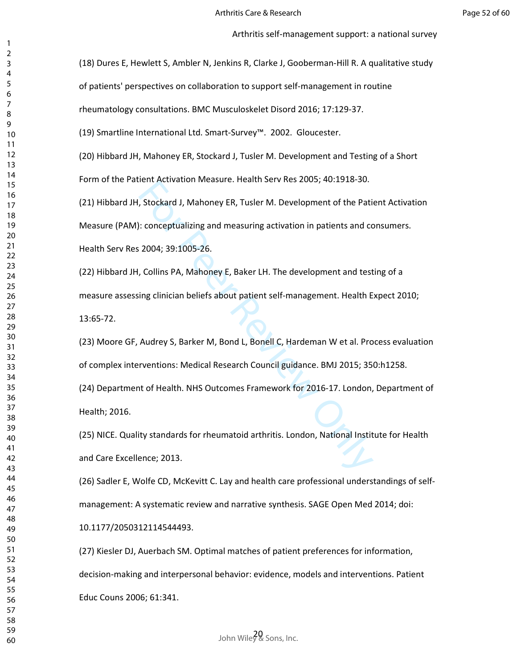| (18) Dures E, Hewlett S, Ambler N, Jenkins R, Clarke J, Gooberman-Hill R. A qualitative study |
|-----------------------------------------------------------------------------------------------|
| of patients' perspectives on collaboration to support self-management in routine              |
| rheumatology consultations. BMC Musculoskelet Disord 2016; 17:129-37.                         |
| (19) Smartline International Ltd. Smart-Survey™. 2002. Gloucester.                            |
| (20) Hibbard JH, Mahoney ER, Stockard J, Tusler M. Development and Testing of a Short         |
| Form of the Patient Activation Measure. Health Serv Res 2005; 40:1918-30.                     |
| (21) Hibbard JH, Stockard J, Mahoney ER, Tusler M. Development of the Patient Activation      |
| Measure (PAM): conceptualizing and measuring activation in patients and consumers.            |
| Health Serv Res 2004; 39:1005-26.                                                             |
| (22) Hibbard JH, Collins PA, Mahoney E, Baker LH. The development and testing of a            |
| measure assessing clinician beliefs about patient self-management. Health Expect 2010;        |
| 13:65-72.                                                                                     |
|                                                                                               |
| (23) Moore GF, Audrey S, Barker M, Bond L, Bonell C, Hardeman W et al. Process evaluation     |
| of complex interventions: Medical Research Council guidance. BMJ 2015; 350:h1258.             |
| (24) Department of Health. NHS Outcomes Framework for 2016-17. London, Department of          |
| Health; 2016.                                                                                 |
| (25) NICE. Quality standards for rheumatoid arthritis. London, National Institute for Health  |
| and Care Excellence; 2013.                                                                    |
| (26) Sadler E, Wolfe CD, McKevitt C. Lay and health care professional understandings of self- |
| management: A systematic review and narrative synthesis. SAGE Open Med 2014; doi:             |
| 10.1177/2050312114544493.                                                                     |

decision-making and interpersonal behavior: evidence, models and interventions. Patient

Educ Couns 2006; 61:341.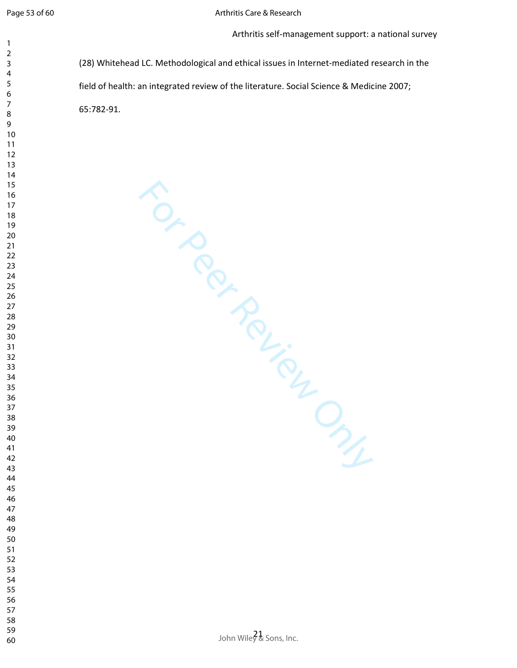$\mathbf{1}$  $\overline{2}$  $\overline{4}$  $\overline{7}$ 

Arthritis Care & Research

Arthritis self-management support: a national survey

(28) Whitehead LC. Methodological and ethical issues in Internet-mediated research in the field of health: an integrated review of the literature. Social Science & Medicine 2007; 65:782-91.

For Peer Review Only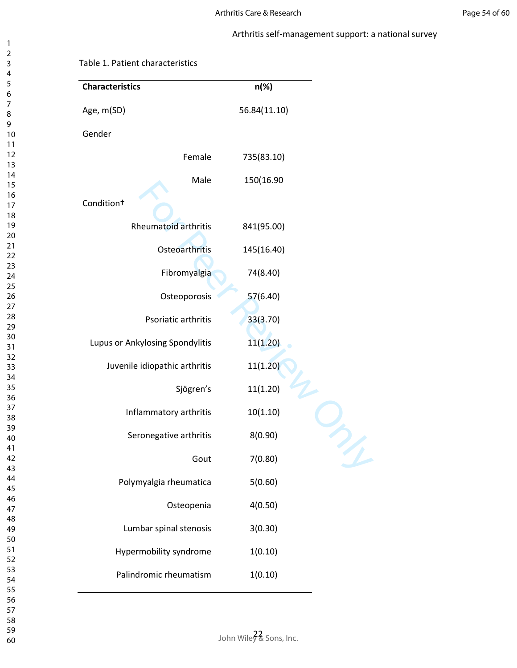$\mathbf{1}$ 

  Table 1. Patient characteristics

| <b>Characteristics</b>          | $n(\%)$      |
|---------------------------------|--------------|
|                                 | 56.84(11.10) |
|                                 |              |
| Female                          | 735(83.10)   |
| Male                            | 150(16.90    |
| Rheumatoid arthritis            | 841(95.00)   |
| Osteoarthritis                  | 145(16.40)   |
| Fibromyalgia                    | 74(8.40)     |
| Osteoporosis                    | 57(6.40)     |
| Psoriatic arthritis             | 33(3.70)     |
| Lupus or Ankylosing Spondylitis | 11(1.20)     |
| Juvenile idiopathic arthritis   | 11(1.20)     |
| Sjögren's                       | 11(1.20)     |
| Inflammatory arthritis          | 10(1.10)     |
| Seronegative arthritis          | 8(0.90)      |
| Gout                            | 7(0.80)      |
| Polymyalgia rheumatica          | 5(0.60)      |
| Osteopenia                      | 4(0.50)      |
| Lumbar spinal stenosis          | 3(0.30)      |
| Hypermobility syndrome          | 1(0.10)      |
| Palindromic rheumatism          | 1(0.10)      |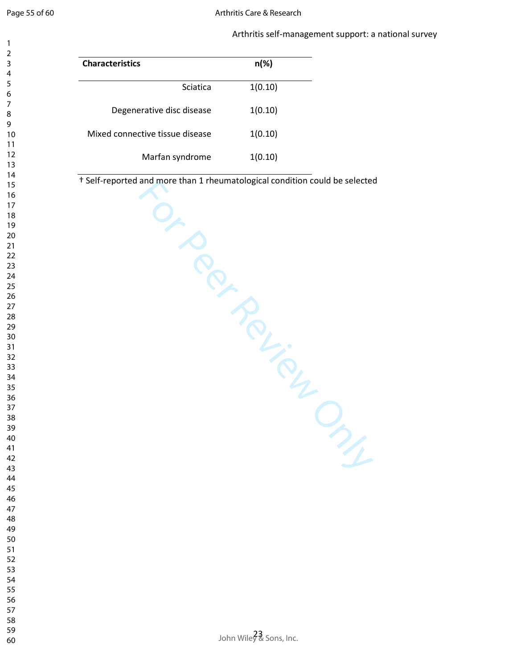Page 55 of 60

 $\mathbf{1}$  $\overline{2}$  $\overline{4}$  $\overline{7}$ 

Arthritis self-management support: a national survey

| <b>Characteristics</b>          | $n(\%)$ |
|---------------------------------|---------|
| <b>Sciatica</b>                 | 1(0.10) |
| Degenerative disc disease       | 1(0.10) |
| Mixed connective tissue disease | 1(0.10) |
| Marfan syndrome                 | 1(0.10) |

From The United States Concernsions of the selection † Self-reported and more than 1 rheumatological condition could be selected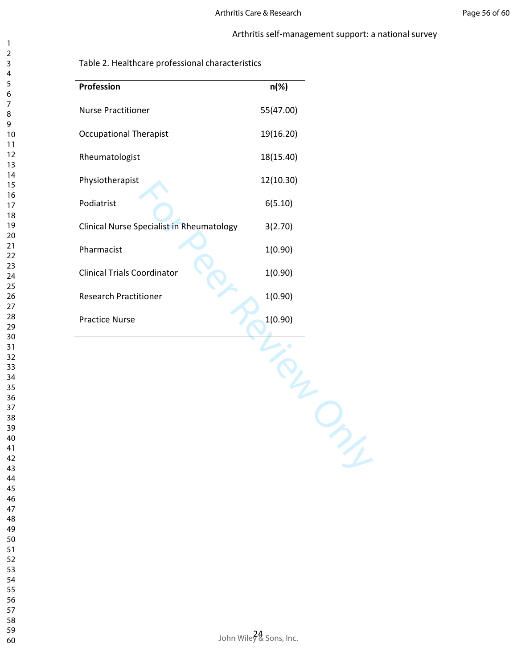### $\overline{2}$  $\overline{7}$

 $\mathbf{1}$ 

  Table 2. Healthcare professional characteristics

| Profession                                       | $n(\%)$   |
|--------------------------------------------------|-----------|
| <b>Nurse Practitioner</b>                        | 55(47.00) |
| <b>Occupational Therapist</b>                    | 19(16.20) |
| Rheumatologist                                   | 18(15.40) |
| Physiotherapist                                  | 12(10.30) |
| Podiatrist                                       | 6(5.10)   |
| <b>Clinical Nurse Specialist in Rheumatology</b> | 3(2.70)   |
| Pharmacist                                       | 1(0.90)   |
| <b>Clinical Trials Coordinator</b>               | 1(0.90)   |
| <b>Research Practitioner</b>                     | 1(0.90)   |
| <b>Practice Nurse</b>                            | 1(0.90)   |
|                                                  |           |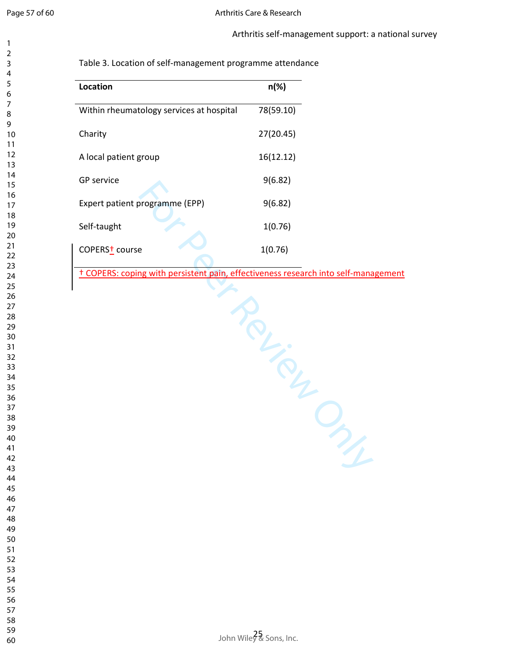$\mathbf{1}$  $\overline{2}$  $\overline{4}$  $\overline{7}$ 

### Arthritis self-management support: a national survey

Table 3. Location of self-management programme attendance

| Location                                                                     | n(%)      |  |
|------------------------------------------------------------------------------|-----------|--|
| Within rheumatology services at hospital                                     | 78(59.10) |  |
| Charity                                                                      | 27(20.45) |  |
| A local patient group                                                        | 16(12.12) |  |
| <b>GP</b> service                                                            | 9(6.82)   |  |
| Expert patient programme (EPP)                                               | 9(6.82)   |  |
| Self-taught                                                                  | 1(0.76)   |  |
| COPERS <sup>t</sup> course                                                   | 1(0.76)   |  |
| t COPERS: coping with persistent pain, effectiveness research into self-mana |           |  |
|                                                                              |           |  |

† COPERS: coping with persistent pain, effectiveness research into self-management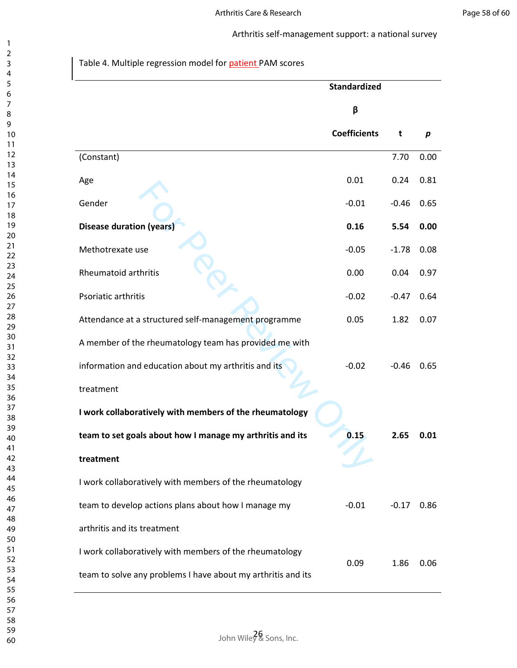Table 4. Multiple regression model for **patient** PAM scores

### Arthritis self-management support: a national survey

| 1                                      |  |
|----------------------------------------|--|
| $\overline{c}$                         |  |
| 3<br>4                                 |  |
| 5                                      |  |
|                                        |  |
| 6<br>7                                 |  |
| 8                                      |  |
| 9                                      |  |
| 10                                     |  |
| 1<br>1                                 |  |
|                                        |  |
|                                        |  |
|                                        |  |
|                                        |  |
| 12<br>13<br>14<br>15<br>16<br>17<br>18 |  |
|                                        |  |
| 19<br>20                               |  |
| $\frac{21}{1}$                         |  |
| $\frac{2}{3}$                          |  |
| 23                                     |  |
| 24                                     |  |
| 25                                     |  |
| 26                                     |  |
| 27<br>28                               |  |
| 29                                     |  |
| 30                                     |  |
| 31                                     |  |
| 32                                     |  |
| 33                                     |  |
| 34                                     |  |
| $\frac{35}{1}$<br>36                   |  |
| 37                                     |  |
| $\overline{\textbf{8}}$                |  |
| 39                                     |  |
| 40                                     |  |
| 41                                     |  |
| 42<br>43                               |  |
| 44                                     |  |
| 45                                     |  |
| 46                                     |  |
| 47                                     |  |
| 48                                     |  |
| 49                                     |  |
| 50<br>51                               |  |
| 52                                     |  |
| 53                                     |  |
| 54                                     |  |
| 55                                     |  |
| 56                                     |  |
| 57                                     |  |
| 58                                     |  |
| 59                                     |  |
| 60                                     |  |

|                                                              | <b>Standardized</b> |         |                  |
|--------------------------------------------------------------|---------------------|---------|------------------|
|                                                              | β                   |         |                  |
|                                                              | <b>Coefficients</b> | t       | $\boldsymbol{p}$ |
| (Constant)                                                   |                     | 7.70    | 0.00             |
| Age                                                          | 0.01                | 0.24    | 0.81             |
| Gender                                                       | $-0.01$             | $-0.46$ | 0.65             |
| <b>Disease duration (years)</b>                              | 0.16                | 5.54    | 0.00             |
| Methotrexate use                                             | $-0.05$             | $-1.78$ | 0.08             |
| Rheumatoid arthritis                                         | 0.00                | 0.04    | 0.97             |
| Psoriatic arthritis                                          | $-0.02$             | $-0.47$ | 0.64             |
| Attendance at a structured self-management programme         | 0.05                | 1.82    | 0.07             |
| A member of the rheumatology team has provided me with       |                     |         |                  |
| information and education about my arthritis and its         | $-0.02$             | $-0.46$ | 0.65             |
| treatment                                                    |                     |         |                  |
| I work collaboratively with members of the rheumatology      |                     |         |                  |
| team to set goals about how I manage my arthritis and its    | 0.15                | 2.65    | 0.01             |
| treatment                                                    |                     |         |                  |
| I work collaboratively with members of the rheumatology      |                     |         |                  |
| team to develop actions plans about how I manage my          | $-0.01$             | $-0.17$ | 0.86             |
| arthritis and its treatment                                  |                     |         |                  |
| I work collaboratively with members of the rheumatology      |                     |         |                  |
| team to solve any problems I have about my arthritis and its | 0.09                | 1.86    | 0.06             |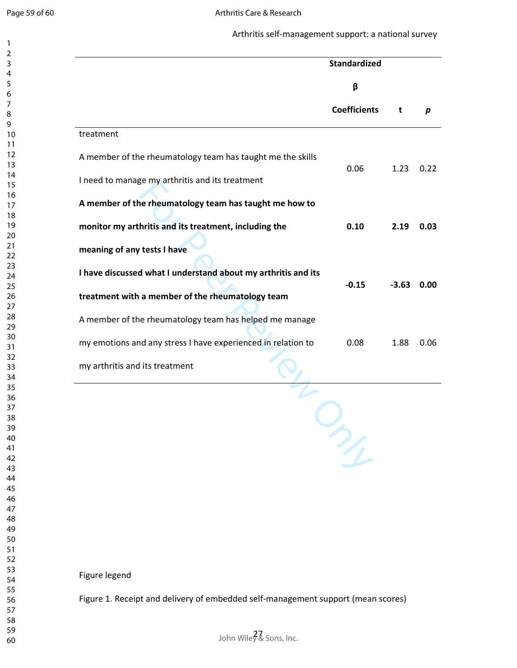$\mathbf{1}$ 

|                                                                                  | <b>Standardized</b>         |         |      |
|----------------------------------------------------------------------------------|-----------------------------|---------|------|
|                                                                                  |                             |         |      |
|                                                                                  | β                           |         |      |
|                                                                                  |                             |         |      |
|                                                                                  | <b>Coefficients</b>         | t       | р    |
| treatment                                                                        |                             |         |      |
|                                                                                  |                             |         |      |
| A member of the rheumatology team has taught me the skills                       |                             |         |      |
|                                                                                  | 0.06                        | 1.23    | 0.22 |
| I need to manage my arthritis and its treatment                                  |                             |         |      |
|                                                                                  |                             |         |      |
| A member of the rheumatology team has taught me how to                           |                             |         |      |
|                                                                                  |                             |         |      |
| monitor my arthritis and its treatment, including the                            | 0.10                        | 2.19    | 0.03 |
|                                                                                  |                             |         |      |
| meaning of any tests I have                                                      |                             |         |      |
|                                                                                  |                             |         |      |
| I have discussed what I understand about my arthritis and its                    |                             |         |      |
|                                                                                  | $-0.15$                     | $-3.63$ | 0.00 |
| treatment with a member of the rheumatology team                                 |                             |         |      |
|                                                                                  |                             |         |      |
| A member of the rheumatology team has helped me manage                           |                             |         |      |
|                                                                                  |                             |         |      |
| my emotions and any stress I have experienced in relation to                     | 0.08                        | 1.88    | 0.06 |
| my arthritis and its treatment                                                   |                             |         |      |
|                                                                                  |                             |         |      |
|                                                                                  |                             |         |      |
|                                                                                  |                             |         |      |
|                                                                                  |                             |         |      |
|                                                                                  |                             |         |      |
|                                                                                  | $\mathcal{D}_{\mathcal{L}}$ |         |      |
|                                                                                  |                             |         |      |
|                                                                                  |                             |         |      |
|                                                                                  |                             |         |      |
|                                                                                  |                             |         |      |
|                                                                                  |                             |         |      |
|                                                                                  |                             |         |      |
|                                                                                  |                             |         |      |
|                                                                                  |                             |         |      |
|                                                                                  |                             |         |      |
|                                                                                  |                             |         |      |
|                                                                                  |                             |         |      |
| Figure legend                                                                    |                             |         |      |
|                                                                                  |                             |         |      |
| Figure 1. Receipt and delivery of embedded self-management support (mean scores) |                             |         |      |
|                                                                                  |                             |         |      |
|                                                                                  |                             |         |      |
| John Wiley & Sons, Inc.                                                          |                             |         |      |